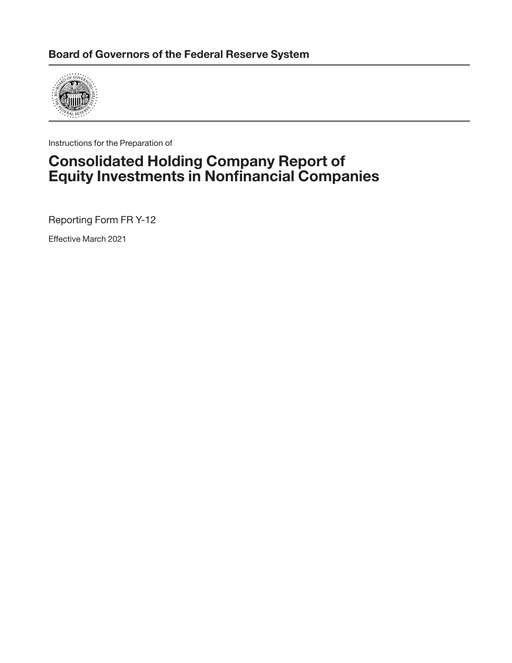

Instructions for the Preparation of

# **Consolidated Holding Company Report of Equity Investments in Nonfinancial Companies**

Reporting Form FR Y-12

Effective March 2021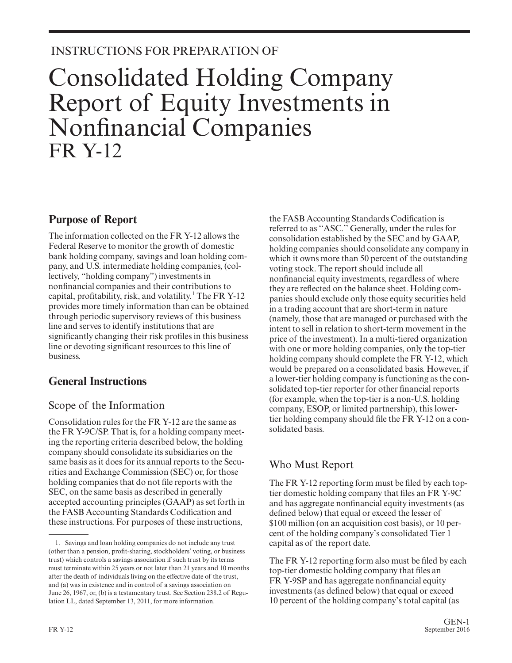# INSTRUCTIONS FOR PREPARATION OF

# Consolidated Holding Company Report of Equity Investments in Nonfinancial Companies FR Y-12

# **Purpose of Report**

The information collected on the FR Y-12 allows the Federal Reserve to monitor the growth of domestic bank holding company, savings and loan holding company, and U.S. intermediate holding companies, (collectively, "holding company") investments in nonfinancial companies and their contributions to capital, profitability, risk, and volatility.<sup>1</sup> The FR Y-12 provides more timely information than can be obtained through periodic supervisory reviews of this business line and serves to identify institutions that are significantly changing their risk profiles in this business line or devoting significant resources to this line of business.

# **General Instructions**

# Scope of the Information

Consolidation rules for the FR Y-12 are the same as the FR Y-9C/SP. That is, for a holding company meeting the reporting criteria described below, the holding company should consolidate its subsidiaries on the same basis as it does for its annual reports to the Securities and Exchange Commission (SEC) or, for those holding companies that do not file reports with the SEC, on the same basis as described in generally accepted accounting principles (GAAP) as set forth in the FASB Accounting Standards Codification and these instructions. For purposes of these instructions,

the FASB Accounting Standards Codification is referred to as ''ASC.'' Generally, under the rules for consolidation established by the SEC and by GAAP, holding companies should consolidate any company in which it owns more than 50 percent of the outstanding voting stock. The report should include all nonfinancial equity investments, regardless of where they are reflected on the balance sheet. Holding companies should exclude only those equity securities held in a trading account that are short-term in nature (namely, those that are managed or purchased with the intent to sell in relation to short-term movement in the price of the investment). In a multi-tiered organization with one or more holding companies, only the top-tier holding company should complete the FR Y-12, which would be prepared on a consolidated basis. However, if a lower-tier holding company is functioning as the consolidated top-tier reporter for other financial reports (for example, when the top-tier is a non-U.S. holding company, ESOP, or limited partnership), this lowertier holding company should file the FR Y-12 on a consolidated basis.

# Who Must Report

The FR Y-12 reporting form must be filed by each toptier domestic holding company that files an FR Y-9C and has aggregate nonfinancial equity investments (as defined below) that equal or exceed the lesser of \$100 million (on an acquisition cost basis), or 10 per cent of the holding company's consolidated Tier 1 capital as of the report date.

The FR Y-12 reporting form also must be filed by each top-tier domestic holding company that files an FR Y-9SP and has aggregate nonfinancial equity investments (as defined below) that equal or exceed 10 percent of the holding company's total capital (as

<sup>1.</sup> Savings and loan holding companies do not include any trust (other than a pension, profit-sharing, stockholders' voting, or business trust) which controls a savings association if such trust by its terms must terminate within 25 years or not later than 21 years and 10 months after the death of individuals living on the effective date of the trust, and (a) was in existence and in control of a savings association on June 26, 1967, or, (b) is a testamentary trust. See Section 238.2 of Regulation LL, dated September 13, 2011, for more information.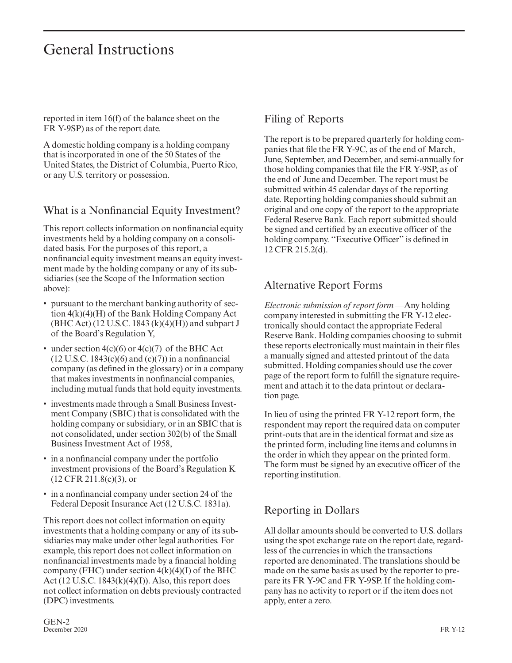# General Instructions

reported in item 16(f) of the balance sheet on the FR Y-9SP) as of the report date.

A domestic holding company is a holding company that is incorporated in one of the 50 States of the United States, the District of Columbia, Puerto Rico, or any U.S. territory or possession.

### What is a Nonfinancial Equity Investment?

This report collects information on nonfinancial equity investments held by a holding company on a consolidated basis. For the purposes of this report, a nonfinancial equity investment means an equity investment made by the holding company or any of its subsidiaries (see the Scope of the Information section above):

- pursuant to the merchant banking authority of section 4(k)(4)(H) of the Bank Holding Company Act (BHC Act) (12 U.S.C. 1843 (k)(4)(H)) and subpart J of the Board's Regulation Y,
- under section 4(c)(6) or 4(c)(7) of the BHC Act  $(12$  U.S.C. 1843 $(c)(6)$  and  $(c)(7)$ ) in a nonfinancial company (as defined in the glossary) or in a company that makes investments in nonfinancial companies, including mutual funds that hold equity investments.
- investments made through a Small Business Investment Company (SBIC) that is consolidated with the holding company or subsidiary, or in an SBIC that is not consolidated, under section 302(b) of the Small Business Investment Act of 1958,
- in a nonfinancial company under the portfolio investment provisions of the Board's Regulation K (12 CFR 211.8(c)(3), or
- in a nonfinancial company under section 24 of the Federal Deposit Insurance Act (12 U.S.C. 1831a).

This report does not collect information on equity investments that a holding company or any of its subsidiaries may make under other legal authorities. For example, this report does not collect information on nonfinancial investments made by a financial holding company (FHC) under section  $4(k)(4)(I)$  of the BHC Act (12 U.S.C. 1843 $(k)(4)(I)$ ). Also, this report does not collect information on debts previously contracted (DPC) investments.

# Filing of Reports

The report is to be prepared quarterly for holding companies that file the FR Y-9C, as of the end of March, June, September, and December, and semi-annually for those holding companies that file the FR Y-9SP, as of the end of June and December. The report must be submitted within 45 calendar days of the reporting date. Reporting holding companies should submit an original and one copy of the report to the appropriate Federal Reserve Bank. Each report submitted should be signed and certified by an executive officer of the holding company. ''Executive Officer'' is defined in 12 CFR 215.2(d).

# Alternative Report Forms

*Electronic submission of report form* —Any holding company interested in submitting the FR Y-12 electronically should contact the appropriate Federal Reserve Bank. Holding companies choosing to submit these reports electronically must maintain in their files a manually signed and attested printout of the data submitted. Holding companies should use the cover page of the report form to fulfill the signature requirement and attach it to the data printout or declaration page.

In lieu of using the printed FR Y-12 report form, the respondent may report the required data on computer print-outs that are in the identical format and size as the printed form, including line items and columns in the order in which they appear on the printed form. The form must be signed by an executive officer of the reporting institution.

# Reporting in Dollars

All dollar amounts should be converted to U.S. dollars using the spot exchange rate on the report date, regardless of the currencies in which the transactions reported are denominated. The translations should be made on the same basis as used by the reporter to prepare its FR Y-9C and FR Y-9SP. If the holding company has no activity to report or if the item does not apply, enter a zero.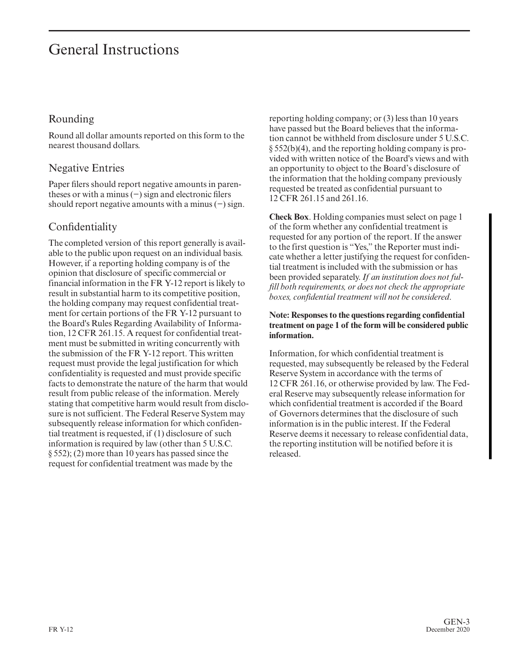# General Instructions

# Rounding

Round all dollar amounts reported on this form to the nearest thousand dollars.

### Negative Entries

Paper filers should report negative amounts in parentheses or with a minus (−) sign and electronic filers should report negative amounts with a minus (−) sign.

# Confidentiality

The completed version of this report generally is available to the public upon request on an individual basis. However, if a reporting holding company is of the opinion that disclosure of specific commercial or financial information in the FR Y-12 report is likely to result in substantial harm to its competitive position, the holding company may request confidential treatment for certain portions of the FR Y-12 pursuant to the Board's Rules Regarding Availability of Information, 12 CFR 261.15. A request for confidential treatment must be submitted in writing concurrently with the submission of the FR Y-12 report. This written request must provide the legal justification for which confidentiality is requested and must provide specific facts to demonstrate the nature of the harm that would result from public release of the information. Merely stating that competitive harm would result from disclosure is not sufficient. The Federal Reserve System may subsequently release information for which confidential treatment is requested, if (1) disclosure of such information is required by law (other than 5 U.S.C. § 552); (2) more than 10 years has passed since the request for confidential treatment was made by the

reporting holding company; or (3) less than 10 years have passed but the Board believes that the information cannot be withheld from disclosure under 5 U.S.C. § 552(b)(4), and the reporting holding company is provided with written notice of the Board's views and with an opportunity to object to the Board's disclosure of the information that the holding company previously requested be treated as confidential pursuant to 12 CFR 261.15 and 261.16.

**Check Box**. Holding companies must select on page 1 of the form whether any confidential treatment is requested for any portion of the report. If the answer to the first question is "Yes," the Reporter must indicate whether a letter justifying the request for confidential treatment is included with the submission or has been provided separately. *If an institution does not fulfill both requirements, or does not check the appropriate boxes, confidential treatment will not be considered*.

#### **Note: Responses to the questions regarding confidential treatment on page 1 of the form will be considered public information.**

Information, for which confidential treatment is requested, may subsequently be released by the Federal Reserve System in accordance with the terms of 12 CFR 261.16, or otherwise provided by law. The Federal Reserve may subsequently release information for which confidential treatment is accorded if the Board of Governors determines that the disclosure of such information is in the public interest. If the Federal Reserve deems it necessary to release confidential data, the reporting institution will be notified before it is released.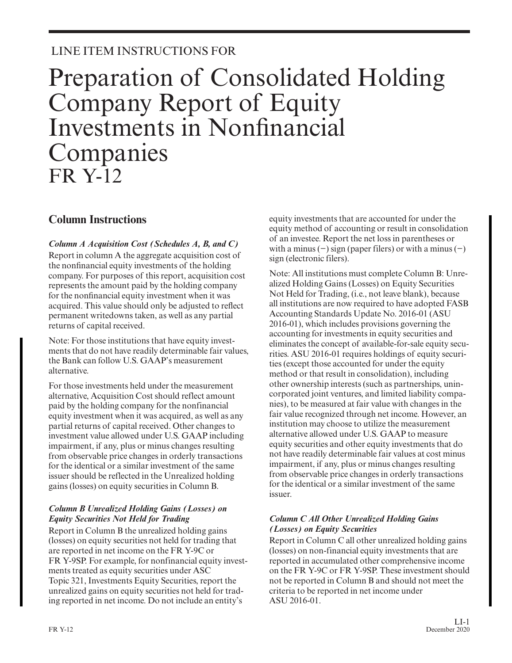# LINE ITEM INSTRUCTIONS FOR

# Preparation of Consolidated Holding Company Report of Equity Investments in Nonfinancial Companies FR Y-12

# **Column Instructions**

#### *Column A Acquisition Cost (Schedules A, B, and C)*

Report in column A the aggregate acquisition cost of the nonfinancial equity investments of the holding company. For purposes of this report, acquisition cost represents the amount paid by the holding company for the nonfinancial equity investment when it was acquired. This value should only be adjusted to reflect permanent writedowns taken, as well as any partial returns of capital received.

Note: For those institutions that have equity investments that do not have readily determinable fair values, the Bank can follow U.S. GAAP's measurement alternative.

For those investments held under the measurement alternative, Acquisition Cost should reflect amount paid by the holding company for the nonfinancial equity investment when it was acquired, as well as any partial returns of capital received. Other changes to investment value allowed under U.S. GAAP including impairment, if any, plus or minus changes resulting from observable price changes in orderly transactions for the identical or a similar investment of the same issuer should be reflected in the Unrealized holding gains (losses) on equity securities in Column B.

#### *Column B Unrealized Holding Gains (Losses) on Equity Securities Not Held for Trading*

Report in Column B the unrealized holding gains (losses) on equity securities not held for trading that are reported in net income on the FR Y-9C or FR Y-9SP. For example, for nonfinancial equity investments treated as equity securities under ASC Topic 321, Investments Equity Securities, report the unrealized gains on equity securities not held for trading reported in net income. Do not include an entity's

equity investments that are accounted for under the equity method of accounting or result in consolidation of an investee. Report the net loss in parentheses or with a minus  $(-)$  sign (paper filers) or with a minus  $(-)$ sign (electronic filers).

Note: All institutions must complete Column B: Unrealized Holding Gains (Losses) on Equity Securities Not Held for Trading, (i.e., not leave blank), because all institutions are now required to have adopted FASB Accounting Standards Update No. 2016-01 (ASU 2016-01), which includes provisions governing the accounting for investments in equity securities and eliminates the concept of available-for-sale equity securities. ASU 2016-01 requires holdings of equity securities (except those accounted for under the equity method or that result in consolidation), including other ownership interests (such as partnerships, unincorporated joint ventures, and limited liability companies), to be measured at fair value with changes in the fair value recognized through net income. However, an institution may choose to utilize the measurement alternative allowed under U.S. GAAP to measure equity securities and other equity investments that do not have readily determinable fair values at cost minus impairment, if any, plus or minus changes resulting from observable price changes in orderly transactions for the identical or a similar investment of the same issuer.

#### *Column C All Other Unrealized Holding Gains (Losses) on Equity Securities*

Report in Column C all other unrealized holding gains (losses) on non-financial equity investments that are reported in accumulated other comprehensive income on the FR Y-9C or FR Y-9SP. These investment should not be reported in Column B and should not meet the criteria to be reported in net income under ASU 2016-01.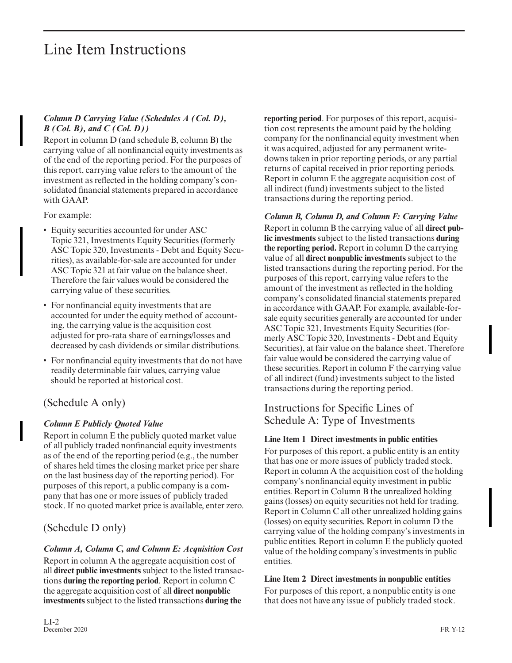#### *Column D Carrying Value (Schedules A (Col. D), B (Col. B), and C (Col. D))*

Report in column D (and schedule B, column B) the carrying value of all nonfinancial equity investments as of the end of the reporting period. For the purposes of this report, carrying value refers to the amount of the investment as reflected in the holding company's consolidated financial statements prepared in accordance with GAAP.

For example:

- Equity securities accounted for under ASC Topic 321, Investments Equity Securities (formerly ASC Topic 320, Investments - Debt and Equity Securities), as available-for-sale are accounted for under ASC Topic 321 at fair value on the balance sheet. Therefore the fair values would be considered the carrying value of these securities.
- For nonfinancial equity investments that are accounted for under the equity method of accounting, the carrying value is the acquisition cost adjusted for pro-rata share of earnings/losses and decreased by cash dividends or similar distributions.
- For nonfinancial equity investments that do not have readily determinable fair values, carrying value should be reported at historical cost.

# (Schedule A only)

### *Column E Publicly Quoted Value*

Report in column E the publicly quoted market value of all publicly traded nonfinancial equity investments as of the end of the reporting period (e.g., the number of shares held times the closing market price per share on the last business day of the reporting period). For purposes of this report, a public company is a company that has one or more issues of publicly traded stock. If no quoted market price is available, enter zero.

# (Schedule D only)

#### *Column A, Column C, and Column E: Acquisition Cost*

Report in column A the aggregate acquisition cost of all **direct public investments** subject to the listed transactions **during the reporting period**. Report in column C the aggregate acquisition cost of all **direct nonpublic investments** subject to the listed transactions **during the**

**reporting period**. For purposes of this report, acquisition cost represents the amount paid by the holding company for the nonfinancial equity investment when it was acquired, adjusted for any permanent writedowns taken in prior reporting periods, or any partial returns of capital received in prior reporting periods. Report in column E the aggregate acquisition cost of all indirect (fund) investments subject to the listed transactions during the reporting period.

*Column B, Column D, and Column F: Carrying Value* Report in column B the carrying value of all **direct public investments** subject to the listed transactions **during the reporting period.** Report in column D the carrying value of all **direct nonpublic investments** subject to the listed transactions during the reporting period. For the purposes of this report, carrying value refers to the amount of the investment as reflected in the holding company's consolidated financial statements prepared in accordance with GAAP. For example, available-for sale equity securities generally are accounted for under ASC Topic 321, Investments Equity Securities (for merly ASC Topic 320, Investments - Debt and Equity Securities), at fair value on the balance sheet. Therefore fair value would be considered the carrying value of these securities. Report in column F the carrying value of all indirect (fund) investments subject to the listed transactions during the reporting period.

# Instructions for Specific Lines of Schedule A: Type of Investments

#### **Line Item 1 Direct investments in public entities**

For purposes of this report, a public entity is an entity that has one or more issues of publicly traded stock. Report in column A the acquisition cost of the holding company's nonfinancial equity investment in public entities. Report in Column B the unrealized holding gains (losses) on equity securities not held for trading. Report in Column C all other unrealized holding gains (losses) on equity securities. Report in column D the carrying value of the holding company's investments in public entities. Report in column E the publicly quoted value of the holding company's investments in public entities.

#### **Line Item 2 Direct investments in nonpublic entities**

For purposes of this report, a nonpublic entity is one that does not have any issue of publicly traded stock.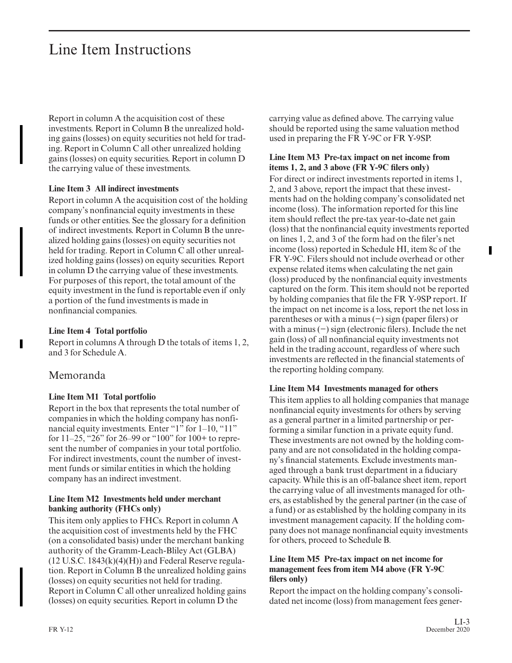Report in column A the acquisition cost of these investments. Report in Column B the unrealized holding gains (losses) on equity securities not held for trading. Report in Column C all other unrealized holding gains (losses) on equity securities. Report in column D the carrying value of these investments.

#### **Line Item 3 All indirect investments**

Report in column A the acquisition cost of the holding company's nonfinancial equity investments in these funds or other entities. See the glossary for a definition of indirect investments. Report in Column B the unrealized holding gains (losses) on equity securities not held for trading. Report in Column C all other unrealized holding gains (losses) on equity securities. Report in column D the carrying value of these investments. For purposes of this report, the total amount of the equity investment in the fund is reportable even if only a portion of the fund investments is made in nonfinancial companies.

#### **Line Item 4 Total portfolio**

Report in columns A through D the totals of items 1, 2, and 3 for Schedule A.

#### Memoranda

#### **Line Item M1 Total portfolio**

Report in the box that represents the total number of companies in which the holding company has nonfinancial equity investments. Enter "1" for 1–10, "11" for 11–25, "26" for 26–99 or "100" for 100+ to represent the number of companies in your total portfolio. For indirect investments, count the number of investment funds or similar entities in which the holding company has an indirect investment.

#### **Line Item M2 Investments held under merchant banking authority (FHCs only)**

This item only applies to FHCs. Report in column A the acquisition cost of investments held by the FHC (on a consolidated basis) under the merchant banking authority of the Gramm-Leach-Bliley Act (GLBA)  $(12 \text{ U.S.C. } 1843(k)(4)(H))$  and Federal Reserve regulation. Report in Column B the unrealized holding gains (losses) on equity securities not held for trading. Report in Column C all other unrealized holding gains (losses) on equity securities. Report in column D the

carrying value as defined above. The carrying value should be reported using the same valuation method used in preparing the FR Y-9C or FR Y-9SP.

#### **Line Item M3 Pre-tax impact on net income from items 1, 2, and 3 above (FR Y-9C filers only)**

For direct or indirect investments reported in items 1, 2, and 3 above, report the impact that these investments had on the holding company's consolidated net income (loss). The information reported for this line item should reflect the pre-tax year-to-date net gain (loss) that the nonfinancial equity investments reported on lines 1, 2, and 3 of the form had on the filer's net income (loss) reported in Schedule HI, item 8c of the FR Y-9C. Filers should not include overhead or other expense related items when calculating the net gain (loss) produced by the nonfinancial equity investments captured on the form. This item should not be reported by holding companies that file the FR Y-9SP report. If the impact on net income is a loss, report the net loss in parentheses or with a minus (−) sign (paper filers) or with a minus (−) sign (electronic filers). Include the net gain (loss) of all nonfinancial equity investments not held in the trading account, regardless of where such investments are reflected in the financial statements of the reporting holding company.

#### **Line Item M4 Investments managed for others**

This item applies to all holding companies that manage nonfinancial equity investments for others by serving as a general partner in a limited partnership or performing a similar function in a private equity fund. These investments are not owned by the holding company and are not consolidated in the holding company's financial statements. Exclude investments managed through a bank trust department in a fiduciary capacity. While this is an off-balance sheet item, report the carrying value of all investments managed for others, as established by the general partner (in the case of a fund) or as established by the holding company in its investment management capacity. If the holding company does not manage nonfinancial equity investments for others, proceed to Schedule B.

#### **Line Item M5 Pre-tax impact on net income for management fees from item M4 above (FR Y-9C filers only)**

Report the impact on the holding company's consolidated net income (loss) from management fees gener-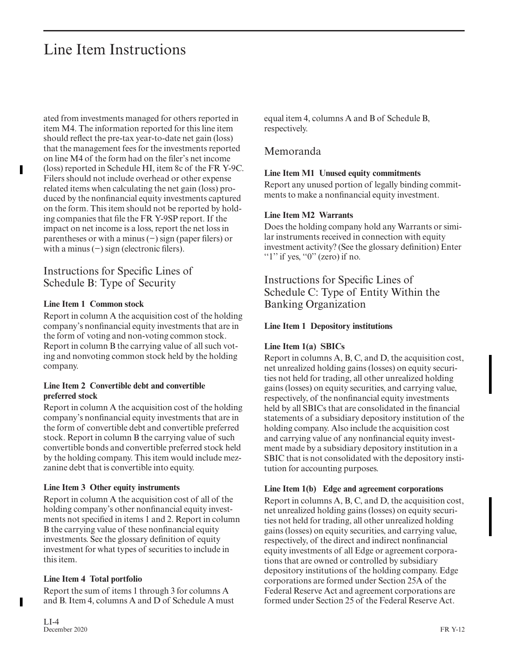ated from investments managed for others reported in item M4. The information reported for this line item should reflect the pre-tax year-to-date net gain (loss) that the management fees for the investments reported on line M4 of the form had on the filer's net income (loss) reported in Schedule HI, item 8c of the FR Y-9C. Filers should not include overhead or other expense related items when calculating the net gain (loss) produced by the nonfinancial equity investments captured on the form. This item should not be reported by holding companies that file the FR Y-9SP report. If the impact on net income is a loss, report the net loss in parentheses or with a minus (−) sign (paper filers) or with a minus (−) sign (electronic filers).

# Instructions for Specific Lines of Schedule B: Type of Security

#### **Line Item 1 Common stock**

Report in column A the acquisition cost of the holding company's nonfinancial equity investments that are in the form of voting and non-voting common stock. Report in column B the carrying value of all such voting and nonvoting common stock held by the holding company.

#### **Line Item 2 Convertible debt and convertible preferred stock**

Report in column A the acquisition cost of the holding company's nonfinancial equity investments that are in the form of convertible debt and convertible preferred stock. Report in column B the carrying value of such convertible bonds and convertible preferred stock held by the holding company. This item would include mezzanine debt that is convertible into equity.

#### **Line Item 3 Other equity instruments**

Report in column A the acquisition cost of all of the holding company's other nonfinancial equity investments not specified in items 1 and 2. Report in column B the carrying value of these nonfinancial equity investments. See the glossary definition of equity investment for what types of securities to include in this item.

#### **Line Item 4 Total portfolio**

Report the sum of items 1 through 3 for columns A and B. Item 4, columns A and D of Schedule A must equal item 4, columns A and B of Schedule B, respectively.

### Memoranda

#### **Line Item M1 Unused equity commitments**

Report any unused portion of legally binding commitments to make a nonfinancial equity investment.

#### **Line Item M2 Warrants**

Does the holding company hold any Warrants or similar instruments received in connection with equity investment activity? (See the glossary definition) Enter " $1$ " if yes, " $0$ " (zero) if no.

Instructions for Specific Lines of Schedule C: Type of Entity Within the Banking Organization

#### **Line Item 1 Depository institutions**

#### **Line Item 1(a) SBICs**

Report in columns A, B, C, and D, the acquisition cost, net unrealized holding gains (losses) on equity securities not held for trading, all other unrealized holding gains (losses) on equity securities, and carrying value, respectively, of the nonfinancial equity investments held by all SBICs that are consolidated in the financial statements of a subsidiary depository institution of the holding company. Also include the acquisition cost and carrying value of any nonfinancial equity investment made by a subsidiary depository institution in a SBIC that is not consolidated with the depository institution for accounting purposes.

#### **Line Item 1(b) Edge and agreement corporations**

Report in columns A, B, C, and D, the acquisition cost, net unrealized holding gains (losses) on equity securities not held for trading, all other unrealized holding gains (losses) on equity securities, and carrying value, respectively, of the direct and indirect nonfinancial equity investments of all Edge or agreement corporations that are owned or controlled by subsidiary depository institutions of the holding company. Edge corporations are formed under Section 25A of the Federal Reserve Act and agreement corporations are formed under Section 25 of the Federal Reserve Act.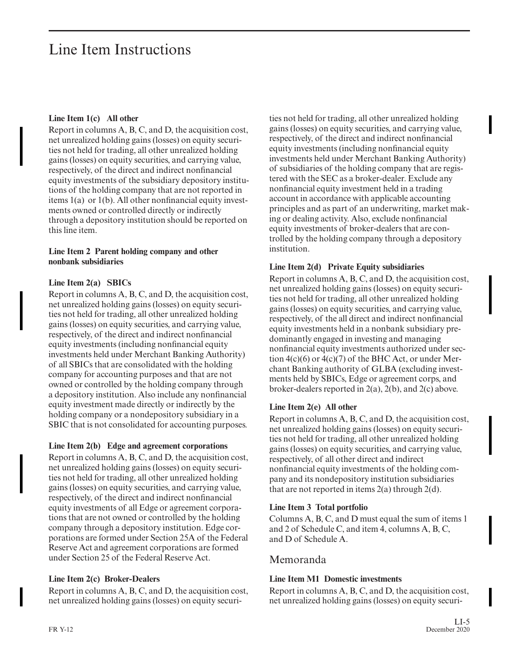#### **Line Item 1(c) All other**

Report in columns A, B, C, and D, the acquisition cost, net unrealized holding gains (losses) on equity securities not held for trading, all other unrealized holding gains (losses) on equity securities, and carrying value, respectively, of the direct and indirect nonfinancial equity investments of the subsidiary depository institutions of the holding company that are not reported in items 1(a) or 1(b). All other nonfinancial equity investments owned or controlled directly or indirectly through a depository institution should be reported on this line item.

#### **Line Item 2 Parent holding company and other nonbank subsidiaries**

#### **Line Item 2(a) SBICs**

Report in columns A, B, C, and D, the acquisition cost, net unrealized holding gains (losses) on equity securities not held for trading, all other unrealized holding gains (losses) on equity securities, and carrying value, respectively, of the direct and indirect nonfinancial equity investments (including nonfinancial equity investments held under Merchant Banking Authority) of all SBICs that are consolidated with the holding company for accounting purposes and that are not owned or controlled by the holding company through a depository institution. Also include any nonfinancial equity investment made directly or indirectly by the holding company or a nondepository subsidiary in a SBIC that is not consolidated for accounting purposes.

#### **Line Item 2(b) Edge and agreement corporations**

Report in columns A, B, C, and D, the acquisition cost, net unrealized holding gains (losses) on equity securities not held for trading, all other unrealized holding gains (losses) on equity securities, and carrying value, respectively, of the direct and indirect nonfinancial equity investments of all Edge or agreement corporations that are not owned or controlled by the holding company through a depository institution. Edge cor porations are formed under Section 25A of the Federal Reserve Act and agreement corporations are formed under Section 25 of the Federal Reserve Act.

#### **Line Item 2(c) Broker-Dealers**

Report in columns A, B, C, and D, the acquisition cost, net unrealized holding gains (losses) on equity securities not held for trading, all other unrealized holding gains (losses) on equity securities, and carrying value, respectively, of the direct and indirect nonfinancial equity investments (including nonfinancial equity investments held under Merchant Banking Authority) of subsidiaries of the holding company that are registered with the SEC as a broker-dealer. Exclude any nonfinancial equity investment held in a trading account in accordance with applicable accounting principles and as part of an underwriting, market making or dealing activity. Also, exclude nonfinancial equity investments of broker-dealers that are controlled by the holding company through a depository institution.

#### **Line Item 2(d) Private Equity subsidiaries**

Report in columns A, B, C, and D, the acquisition cost, net unrealized holding gains (losses) on equity securities not held for trading, all other unrealized holding gains (losses) on equity securities, and carrying value, respectively, of the all direct and indirect nonfinancial equity investments held in a nonbank subsidiary predominantly engaged in investing and managing nonfinancial equity investments authorized under section  $4(c)(6)$  or  $4(c)(7)$  of the BHC Act, or under Merchant Banking authority of GLBA (excluding investments held by SBICs, Edge or agreement corps, and broker-dealers reported in 2(a), 2(b), and 2(c) above.

#### **Line Item 2(e) All other**

Report in columns A, B, C, and D, the acquisition cost, net unrealized holding gains (losses) on equity securities not held for trading, all other unrealized holding gains (losses) on equity securities, and carrying value, respectively, of all other direct and indirect nonfinancial equity investments of the holding company and its nondepository institution subsidiaries that are not reported in items 2(a) through 2(d).

#### **Line Item 3 Total portfolio**

Columns A, B, C, and D must equal the sum of items 1 and 2 of Schedule C, and item 4, columns A, B, C, and D of Schedule A.

### Memoranda

#### **Line Item M1 Domestic investments**

Report in columns A, B, C, and D, the acquisition cost, net unrealized holding gains (losses) on equity securi-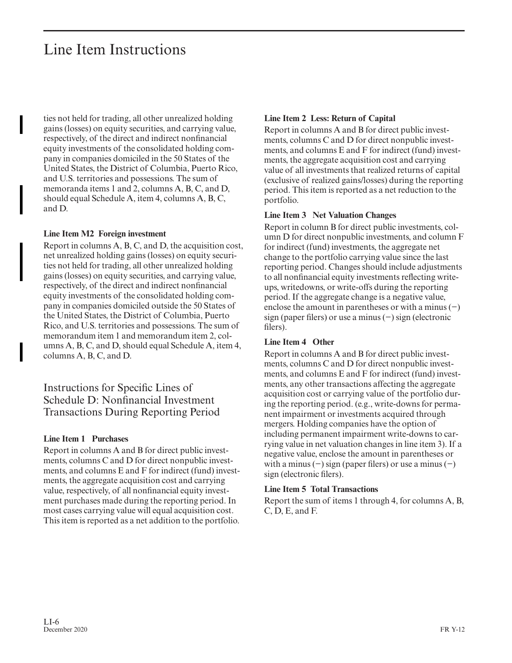ties not held for trading, all other unrealized holding gains (losses) on equity securities, and carrying value, respectively, of the direct and indirect nonfinancial equity investments of the consolidated holding company in companies domiciled in the 50 States of the United States, the District of Columbia, Puerto Rico, and U.S. territories and possessions. The sum of memoranda items 1 and 2, columns A, B, C, and D, should equal Schedule A, item 4, columns A, B, C, and D.

#### **Line Item M2 Foreign investment**

Report in columns A, B, C, and D, the acquisition cost, net unrealized holding gains (losses) on equity securities not held for trading, all other unrealized holding gains (losses) on equity securities, and carrying value, respectively, of the direct and indirect nonfinancial equity investments of the consolidated holding company in companies domiciled outside the 50 States of the United States, the District of Columbia, Puerto Rico, and U.S. territories and possessions. The sum of memorandum item 1 and memorandum item 2, columns A, B, C, and D, should equal Schedule A, item 4, columns A, B, C, and D.

Instructions for Specific Lines of Schedule D: Nonfinancial Investment Transactions During Reporting Period

#### **Line Item 1 Purchases**

Report in columns A and B for direct public investments, columns C and D for direct nonpublic investments, and columns E and F for indirect (fund) investments, the aggregate acquisition cost and carrying value, respectively, of all nonfinancial equity investment purchases made during the reporting period. In most cases carrying value will equal acquisition cost. This item is reported as a net addition to the portfolio.

#### **Line Item 2 Less: Return of Capital**

Report in columns A and B for direct public investments, columns C and D for direct nonpublic investments, and columns E and F for indirect (fund) investments, the aggregate acquisition cost and carrying value of all investments that realized returns of capital (exclusive of realized gains/losses) during the reporting period. This item is reported as a net reduction to the portfolio.

#### **Line Item 3 Net Valuation Changes**

Report in column B for direct public investments, column D for direct nonpublic investments, and column F for indirect (fund) investments, the aggregate net change to the portfolio carrying value since the last reporting period. Changes should include adjustments to all nonfinancial equity investments reflecting writeups, writedowns, or write-offs during the reporting period. If the aggregate change is a negative value, enclose the amount in parentheses or with a minus (−) sign (paper filers) or use a minus (−) sign (electronic filers).

#### **Line Item 4 Other**

Report in columns A and B for direct public investments, columns C and D for direct nonpublic investments, and columns E and F for indirect (fund) investments, any other transactions affecting the aggregate acquisition cost or carrying value of the portfolio during the reporting period. (e.g., write-downs for permanent impairment or investments acquired through mergers. Holding companies have the option of including permanent impairment write-downs to car rying value in net valuation changes in line item 3). If a negative value, enclose the amount in parentheses or with a minus  $(-)$  sign (paper filers) or use a minus  $(-)$ sign (electronic filers).

#### **Line Item 5 Total Transactions**

Report the sum of items 1 through 4, for columns A, B, C, D, E, and F.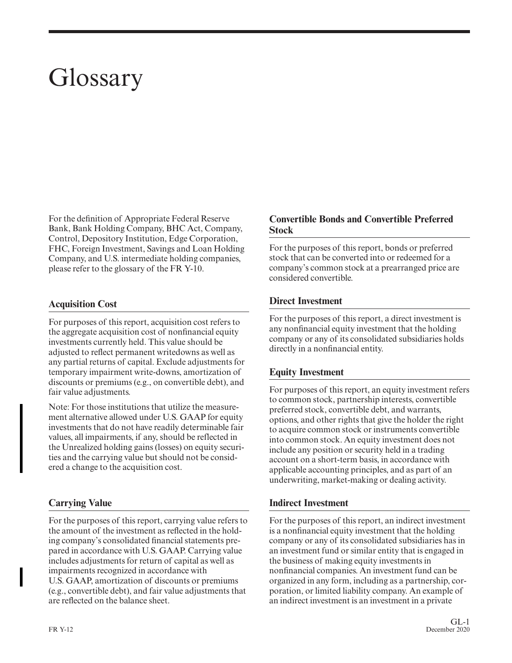# Glossary

For the definition of Appropriate Federal Reserve Bank, Bank Holding Company, BHC Act, Company, Control, Depository Institution, Edge Corporation, FHC, Foreign Investment, Savings and Loan Holding Company, and U.S. intermediate holding companies, please refer to the glossary of the FR Y-10.

#### **Acquisition Cost**

For purposes of this report, acquisition cost refers to the aggregate acquisition cost of nonfinancial equity investments currently held. This value should be adjusted to reflect permanent writedowns as well as any partial returns of capital. Exclude adjustments for temporary impairment write-downs, amortization of discounts or premiums (e.g., on convertible debt), and fair value adjustments.

Note: For those institutions that utilize the measurement alternative allowed under U.S. GAAP for equity investments that do not have readily determinable fair values, all impairments, if any, should be reflected in the Unrealized holding gains (losses) on equity securities and the carrying value but should not be considered a change to the acquisition cost.

#### **Carrying Value**

For the purposes of this report, carrying value refers to the amount of the investment as reflected in the holding company's consolidated financial statements prepared in accordance with U.S. GAAP. Carrying value includes adjustments for return of capital as well as impairments recognized in accordance with U.S. GAAP, amortization of discounts or premiums (e.g., convertible debt), and fair value adjustments that are reflected on the balance sheet.

#### **Convertible Bonds and Convertible Preferred Stock**

For the purposes of this report, bonds or preferred stock that can be converted into or redeemed for a company's common stock at a prearranged price are considered convertible.

#### **Direct Investment**

For the purposes of this report, a direct investment is any nonfinancial equity investment that the holding company or any of its consolidated subsidiaries holds directly in a nonfinancial entity.

#### **Equity Investment**

For purposes of this report, an equity investment refers to common stock, partnership interests, convertible preferred stock, convertible debt, and warrants, options, and other rights that give the holder the right to acquire common stock or instruments convertible into common stock. An equity investment does not include any position or security held in a trading account on a short-term basis, in accordance with applicable accounting principles, and as part of an underwriting, market-making or dealing activity.

#### **Indirect Investment**

For the purposes of this report, an indirect investment is a nonfinancial equity investment that the holding company or any of its consolidated subsidiaries has in an investment fund or similar entity that is engaged in the business of making equity investments in nonfinancial companies. An investment fund can be organized in any form, including as a partnership, cor poration, or limited liability company. An example of an indirect investment is an investment in a private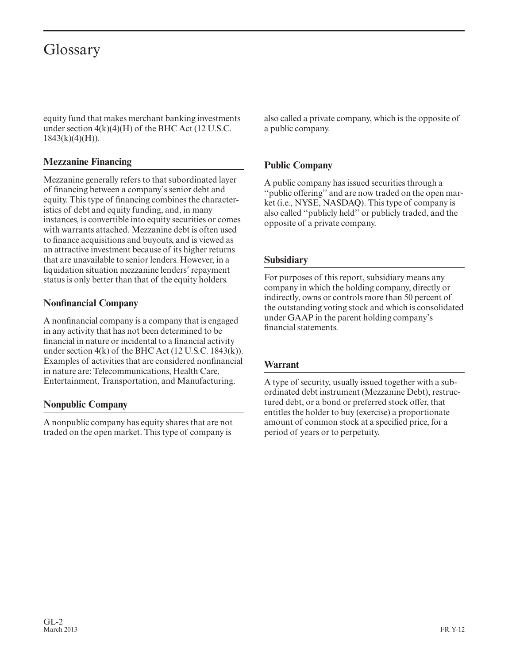# Glossary

equity fund that makes merchant banking investments under section  $4(k)(4)(H)$  of the BHC Act (12 U.S.C.  $1843(k)(4)(H)$ ).

#### **Mezzanine Financing**

Mezzanine generally refers to that subordinated layer of financing between a company's senior debt and equity. This type of financing combines the characteristics of debt and equity funding, and, in many instances, is convertible into equity securities or comes with warrants attached. Mezzanine debt is often used to finance acquisitions and buyouts, and is viewed as an attractive investment because of its higher returns that are unavailable to senior lenders. However, in a liquidation situation mezzanine lenders' repayment status is only better than that of the equity holders.

#### **Nonfinancial Company**

A nonfinancial company is a company that is engaged in any activity that has not been determined to be financial in nature or incidental to a financial activity under section 4(k) of the BHC Act (12 U.S.C. 1843(k)). Examples of activities that are considered nonfinancial in nature are: Telecommunications, Health Care, Entertainment, Transportation, and Manufacturing.

#### **Nonpublic Company**

A nonpublic company has equity shares that are not traded on the open market. This type of company is also called a private company, which is the opposite of a public company.

### **Public Company**

A public company has issued securities through a ''public offering'' and are now traded on the open mar ket (i.e., NYSE, NASDAQ). This type of company is also called ''publicly held'' or publicly traded, and the opposite of a private company.

#### **Subsidiary**

For purposes of this report, subsidiary means any company in which the holding company, directly or indirectly, owns or controls more than 50 percent of the outstanding voting stock and which is consolidated under GAAP in the parent holding company's financial statements.

#### **Warrant**

A type of security, usually issued together with a subordinated debt instrument (Mezzanine Debt), restructured debt, or a bond or preferred stock offer, that entitles the holder to buy (exercise) a proportionate amount of common stock at a specified price, for a period of years or to perpetuity.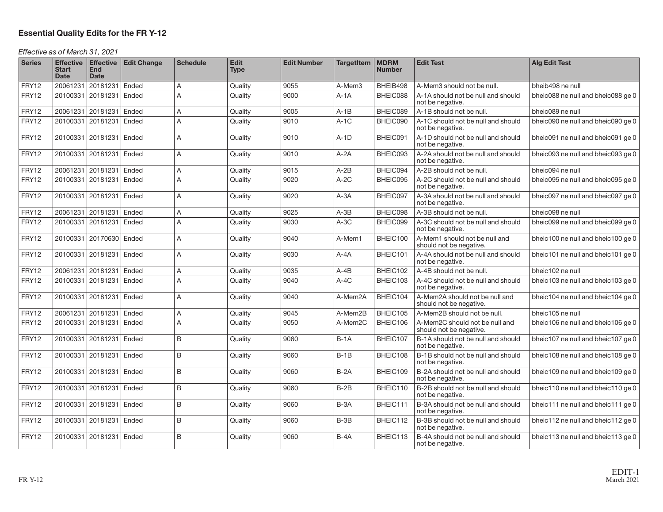#### **Essential Quality Edits for the FR Y-12**

#### Effective as of March 31, 2021

| <b>Series</b> | <b>Start</b><br><b>Date</b> | Effective Effective<br>End<br><b>Date</b> | <b>Edit Change</b> | <b>Schedule</b> | <b>Edit</b><br><b>Type</b> | <b>Edit Number</b> | <b>TargetItem</b> | <b>MDRM</b><br><b>Number</b> | <b>Edit Test</b>                                          | <b>Alg Edit Test</b>               |
|---------------|-----------------------------|-------------------------------------------|--------------------|-----------------|----------------------------|--------------------|-------------------|------------------------------|-----------------------------------------------------------|------------------------------------|
| FRY12         | 20061231                    | 20181231 Ended                            |                    | A               | Quality                    | 9055               | A-Mem3            | BHEIB498                     | A-Mem3 should not be null.                                | bheib498 ne null                   |
| FRY12         | 20100331                    | 20181231                                  | Ended              | A               | Quality                    | 9000               | $A-1A$            | BHEIC088                     | A-1A should not be null and should<br>not be negative.    | bheic088 ne null and bheic088 ge 0 |
| FRY12         | 20061231                    | 20181231                                  | Ended              | A               | Quality                    | 9005               | $A-1B$            | BHEIC089                     | A-1B should not be null.                                  | bheic089 ne null                   |
| FRY12         | 20100331                    | 20181231                                  | Ended              | A               | Quality                    | 9010               | $A-1C$            | BHEIC090                     | A-1C should not be null and should<br>not be negative.    | bheic090 ne null and bheic090 ge 0 |
| FRY12         |                             | 20100331 20181231 Ended                   |                    | A               | Quality                    | 9010               | $A-1D$            | BHEIC091                     | A-1D should not be null and should<br>not be negative.    | bheic091 ne null and bheic091 ge 0 |
| FRY12         |                             | 20100331 20181231 Ended                   |                    | A               | Quality                    | 9010               | $A-2A$            | BHEIC093                     | A-2A should not be null and should<br>not be negative.    | bheic093 ne null and bheic093 ge 0 |
| FRY12         |                             | 20061231 20181231                         | Ended              | A               | Quality                    | 9015               | $A-2B$            | BHEIC094                     | A-2B should not be null.                                  | bheic094 ne null                   |
| FRY12         |                             | 20100331 20181231 Ended                   |                    | A               | Quality                    | 9020               | $A-2C$            | BHEIC095                     | A-2C should not be null and should<br>not be negative.    | bheic095 ne null and bheic095 ge 0 |
| FRY12         | 20100331                    | 20181231                                  | Ended              | A               | Quality                    | 9020               | $A - 3A$          | BHEIC097                     | A-3A should not be null and should<br>not be negative.    | bheic097 ne null and bheic097 ge 0 |
| FRY12         | 20061231                    | 20181231                                  | Ended              | A               | Quality                    | 9025               | $A-3B$            | BHEIC098                     | A-3B should not be null.                                  | bheic098 ne null                   |
| FRY12         | 20100331                    | 20181231                                  | Ended              | A               | Quality                    | 9030               | $A-3C$            | BHEIC099                     | A-3C should not be null and should<br>not be negative.    | bheic099 ne null and bheic099 ge 0 |
| FRY12         | 20100331                    | 20170630                                  | Ended              | A               | Quality                    | 9040               | A-Mem1            | BHEIC100                     | A-Mem1 should not be null and<br>should not be negative.  | bheic100 ne null and bheic100 ge 0 |
| FRY12         |                             | 20100331 20181231 Ended                   |                    | A               | Quality                    | 9030               | $A - 4A$          | BHEIC101                     | A-4A should not be null and should<br>not be negative.    | bheic101 ne null and bheic101 ge 0 |
| FRY12         |                             | 20061231 20181231 Ended                   |                    | A               | Quality                    | 9035               | $A-4B$            | BHEIC102                     | A-4B should not be null.                                  | bheic102 ne null                   |
| FRY12         |                             | 20100331 20181231                         | Ended              | A               | Quality                    | 9040               | $A-4C$            | BHEIC103                     | A-4C should not be null and should<br>not be negative.    | bheic103 ne null and bheic103 ge 0 |
| FRY12         |                             | 20100331 20181231 Ended                   |                    | A               | Quality                    | 9040               | A-Mem2A           | BHEIC104                     | A-Mem2A should not be null and<br>should not be negative. | bheic104 ne null and bheic104 ge 0 |
| FRY12         | 20061231                    | 20181231                                  | Ended              | Α               | Quality                    | 9045               | A-Mem2B           | BHEIC105                     | A-Mem2B should not be null.                               | bheic105 ne null                   |
| FRY12         |                             | 20100331 20181231 Ended                   |                    | A               | Quality                    | 9050               | A-Mem2C           | BHEIC106                     | A-Mem2C should not be null and<br>should not be negative. | bheic106 ne null and bheic106 ge 0 |
| FRY12         |                             | 20100331 20181231 Ended                   |                    | B               | Quality                    | 9060               | $B-1A$            | BHEIC107                     | B-1A should not be null and should<br>not be negative.    | bheic107 ne null and bheic107 ge 0 |
| FRY12         | 20100331                    | 20181231                                  | Ended              | B               | Quality                    | 9060               | $B-1B$            | BHEIC108                     | B-1B should not be null and should<br>not be negative.    | bheic108 ne null and bheic108 ge 0 |
| FRY12         |                             | 20100331 20181231                         | Ended              | B               | Quality                    | 9060               | $B-2A$            | BHEIC109                     | B-2A should not be null and should<br>not be negative.    | bheic109 ne null and bheic109 ge 0 |
| FRY12         |                             | 20100331 20181231 Ended                   |                    | B               | Quality                    | 9060               | $B-2B$            | BHEIC110                     | B-2B should not be null and should<br>not be negative.    | bheic110 ne null and bheic110 ge 0 |
| FRY12         |                             | 20100331 20181231 Ended                   |                    | B               | Quality                    | 9060               | $B-3A$            | BHEIC111                     | B-3A should not be null and should<br>not be negative.    | bheic111 ne null and bheic111 ge 0 |
| FRY12         | 20100331                    | 20181231                                  | Ended              | B               | Quality                    | 9060               | $B-3B$            | BHEIC112                     | B-3B should not be null and should<br>not be negative.    | bheic112 ne null and bheic112 ge 0 |
| FRY12         |                             | 20100331 20181231                         | Ended              | B               | Quality                    | 9060               | $B-4A$            | BHEIC113                     | B-4A should not be null and should<br>not be negative.    | bheic113 ne null and bheic113 ge 0 |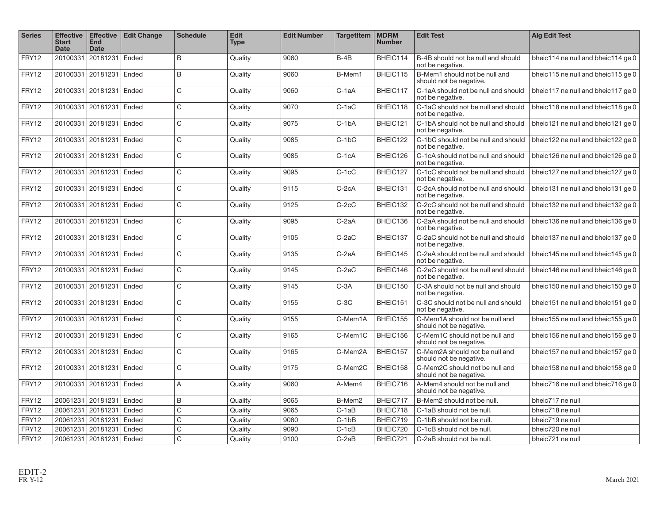| <b>Series</b> | <b>Effective</b><br><b>Start</b><br><b>Date</b> | <b>Effective</b><br><b>End</b><br><b>Date</b> | <b>Edit Change</b> | <b>Schedule</b> | <b>Edit</b><br><b>Type</b> | <b>Edit Number</b> | <b>TargetItem</b> | <b>MDRM</b><br><b>Number</b> | <b>Edit Test</b>                                          | <b>Alg Edit Test</b>               |
|---------------|-------------------------------------------------|-----------------------------------------------|--------------------|-----------------|----------------------------|--------------------|-------------------|------------------------------|-----------------------------------------------------------|------------------------------------|
| FRY12         |                                                 | 20100331 20181231                             | Ended              | <sub>B</sub>    | Quality                    | 9060               | $B-4B$            | BHEIC114                     | B-4B should not be null and should<br>not be negative.    | bheic114 ne null and bheic114 ge 0 |
| FRY12         |                                                 | 20100331 20181231                             | Ended              | B               | Quality                    | 9060               | B-Mem1            | BHEIC115                     | B-Mem1 should not be null and<br>should not be negative.  | bheic115 ne null and bheic115 ge 0 |
| FRY12         | 20100331                                        | 20181231                                      | Ended              | $\mathsf{C}$    | Quality                    | 9060               | C-1aA             | BHEIC117                     | C-1aA should not be null and should<br>not be negative.   | bheic117 ne null and bheic117 ge 0 |
| FRY12         | 20100331                                        | 20181231                                      | Ended              | $\mathsf{C}$    | Quality                    | 9070               | $C-1aC$           | BHEIC118                     | C-1aC should not be null and should<br>not be negative.   | bheic118 ne null and bheic118 ge 0 |
| FRY12         |                                                 | 20100331 20181231                             | Ended              | $\mathsf{C}$    | Quality                    | 9075               | $C-1bA$           | BHEIC121                     | C-1bA should not be null and should<br>not be negative.   | bheic121 ne null and bheic121 ge 0 |
| FRY12         | 20100331                                        | 20181231                                      | Ended              | $\mathsf{C}$    | Quality                    | 9085               | $C-1bC$           | BHEIC122                     | C-1bC should not be null and should<br>not be negative.   | bheic122 ne null and bheic122 ge 0 |
| FRY12         | 20100331                                        | 20181231                                      | Ended              | $\mathsf{C}$    | Quality                    | 9085               | $C-1cA$           | BHEIC126                     | C-1cA should not be null and should<br>not be negative.   | bheic126 ne null and bheic126 ge 0 |
| FRY12         | 20100331                                        | 20181231                                      | Ended              | $\mathsf{C}$    | Quality                    | 9095               | $C-1cC$           | BHEIC127                     | C-1cC should not be null and should<br>not be negative.   | bheic127 ne null and bheic127 ge 0 |
| FRY12         |                                                 | 20100331 20181231                             | Ended              | $\mathsf{C}$    | Quality                    | 9115               | $C-2cA$           | BHEIC131                     | C-2cA should not be null and should<br>not be negative.   | bheic131 ne null and bheic131 ge 0 |
| FRY12         |                                                 | 20100331 20181231                             | Ended              | $\mathsf{C}$    | Quality                    | 9125               | $C-2cC$           | BHEIC132                     | C-2cC should not be null and should<br>not be negative.   | bheic132 ne null and bheic132 ge 0 |
| FRY12         | 20100331                                        | 20181231                                      | Ended              | $\mathsf{C}$    | Quality                    | 9095               | $C-2aA$           | BHEIC136                     | C-2aA should not be null and should<br>not be negative.   | bheic136 ne null and bheic136 ge 0 |
| FRY12         |                                                 | 20100331 20181231                             | Ended              | $\mathsf{C}$    | Quality                    | 9105               | $C-2aC$           | BHEIC137                     | C-2aC should not be null and should<br>not be negative.   | bheic137 ne null and bheic137 ge 0 |
| FRY12         |                                                 | 20100331 20181231                             | Ended              | $\mathsf{C}$    | Quality                    | 9135               | C-2eA             | BHEIC145                     | C-2eA should not be null and should<br>not be negative.   | bheic145 ne null and bheic145 ge 0 |
| FRY12         | 20100331                                        | 20181231                                      | Ended              | $\mathsf{C}$    | Quality                    | 9145               | $C-2eC$           | BHEIC146                     | C-2eC should not be null and should<br>not be negative.   | bheic146 ne null and bheic146 ge 0 |
| FRY12         | 20100331                                        | 20181231                                      | Ended              | $\mathbf C$     | Quality                    | 9145               | $C-3A$            | BHEIC150                     | C-3A should not be null and should<br>not be negative.    | bheic150 ne null and bheic150 ge 0 |
| FRY12         | 20100331                                        | 20181231                                      | Ended              | $\mathsf{C}$    | Quality                    | 9155               | $C-3C$            | BHEIC151                     | C-3C should not be null and should<br>not be negative.    | bheic151 ne null and bheic151 ge 0 |
| FRY12         |                                                 | 20100331 20181231                             | Ended              | C               | Quality                    | 9155               | C-Mem1A           | BHEIC155                     | C-Mem1A should not be null and<br>should not be negative. | bheic155 ne null and bheic155 ge 0 |
| FRY12         | 20100331                                        | 20181231                                      | Ended              | $\mathsf{C}$    | Quality                    | 9165               | C-Mem1C           | BHEIC156                     | C-Mem1C should not be null and<br>should not be negative. | bheic156 ne null and bheic156 ge 0 |
| FRY12         |                                                 | 20100331 20181231                             | Ended              | $\mathsf{C}$    | Quality                    | 9165               | C-Mem2A           | BHEIC157                     | C-Mem2A should not be null and<br>should not be negative. | bheic157 ne null and bheic157 ge 0 |
| FRY12         |                                                 | 20100331 20181231                             | Ended              | $\mathsf{C}$    | Quality                    | 9175               | C-Mem2C           | BHEIC158                     | C-Mem2C should not be null and<br>should not be negative. | bheic158 ne null and bheic158 ge 0 |
| FRY12         | 20100331                                        | 20181231                                      | Ended              | $\overline{A}$  | Quality                    | 9060               | A-Mem4            | BHEIC716                     | A-Mem4 should not be null and<br>should not be negative.  | bheic716 ne null and bheic716 ge 0 |
| FRY12         | 20061231                                        | 20181231                                      | Ended              | $\mathsf B$     | Quality                    | 9065               | B-Mem2            | BHEIC717                     | B-Mem2 should not be null.                                | bheic717 ne null                   |
| FRY12         | 20061231                                        | 20181231                                      | Ended              | $\mathbf C$     | Quality                    | 9065               | $C-1aB$           | BHEIC718                     | C-1aB should not be null.                                 | bheic718 ne null                   |
| FRY12         | 20061231                                        | 20181231                                      | Ended              | $\mathbf C$     | Quality                    | 9080               | $C-1bB$           | BHEIC719                     | C-1bB should not be null.                                 | bheic719 ne null                   |
| FRY12         | 20061231                                        | 20181231                                      | Ended              | $\mathbf C$     | Quality                    | 9090               | $C-1CB$           | BHEIC720                     | C-1cB should not be null.                                 | bheic720 ne null                   |
| FRY12         |                                                 | 20061231 20181231                             | Ended              | $\mathsf{C}$    | Quality                    | 9100               | C-2aB             | BHEIC721                     | C-2aB should not be null.                                 | bheic721 ne null                   |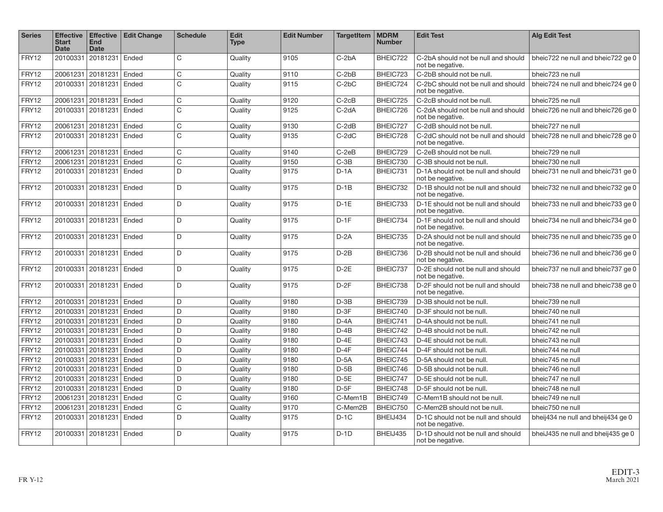| <b>Series</b> | <b>Effective</b><br><b>Start</b><br><b>Date</b> | <b>Effective</b><br><b>End</b><br><b>Date</b> | <b>Edit Change</b> | <b>Schedule</b> | <b>Edit</b><br><b>Type</b> | <b>Edit Number</b> | <b>TargetItem</b> | <b>MDRM</b><br><b>Number</b> | <b>Edit Test</b>                                        | <b>Alg Edit Test</b>               |
|---------------|-------------------------------------------------|-----------------------------------------------|--------------------|-----------------|----------------------------|--------------------|-------------------|------------------------------|---------------------------------------------------------|------------------------------------|
| FRY12         | 20100331                                        | 20181231 Ended                                |                    | $\mathsf{C}$    | Quality                    | 9105               | $C-2bA$           | BHEIC722                     | C-2bA should not be null and should<br>not be negative. | bheic722 ne null and bheic722 ge 0 |
| FRY12         | 20061231                                        | 20181231                                      | Ended              | C               | Quality                    | 9110               | $C-2bB$           | BHEIC723                     | C-2bB should not be null.                               | bheic723 ne null                   |
| FRY12         | 20100331                                        | 20181231                                      | Ended              | $\mathsf{C}$    | Quality                    | 9115               | $C-2bC$           | BHEIC724                     | C-2bC should not be null and should<br>not be negative. | bheic724 ne null and bheic724 ge 0 |
| FRY12         | 20061231                                        | 20181231                                      | Ended              | C               | Quality                    | 9120               | $C-2cB$           | BHEIC725                     | C-2cB should not be null.                               | bheic725 ne null                   |
| FRY12         | 20100331                                        | 20181231                                      | Ended              | $\mathsf{C}$    | Quality                    | 9125               | C-2dA             | BHEIC726                     | C-2dA should not be null and should<br>not be negative. | bheic726 ne null and bheic726 ge 0 |
| FRY12         | 20061231                                        | 20181231                                      | Ended              | C               | Quality                    | 9130               | $C-2dB$           | BHEIC727                     | C-2dB should not be null.                               | bheic727 ne null                   |
| FRY12         | 20100331                                        | 20181231                                      | Ended              | $\mathsf{C}$    | Quality                    | 9135               | C-2dC             | BHEIC728                     | C-2dC should not be null and should<br>not be negative. | bheic728 ne null and bheic728 ge 0 |
| FRY12         | 20061231                                        | 20181231                                      | Ended              | $\mathsf C$     | Quality                    | 9140               | $C-2eB$           | BHEIC729                     | C-2eB should not be null.                               | bheic729 ne null                   |
| FRY12         | 20061231                                        | 20181231                                      | Ended              | C               | Quality                    | 9150               | $C-3B$            | BHEIC730                     | C-3B should not be null.                                | bheic730 ne null                   |
| FRY12         | 20100331                                        | 20181231                                      | Ended              | D.              | Quality                    | 9175               | $D-1A$            | BHEIC731                     | D-1A should not be null and should<br>not be negative.  | bheic731 ne null and bheic731 ge 0 |
| FRY12         | 20100331                                        | 20181231                                      | Ended              | D               | Quality                    | 9175               | $D-1B$            | BHEIC732                     | D-1B should not be null and should<br>not be negative.  | bheic732 ne null and bheic732 ge 0 |
| FRY12         | 20100331                                        | 20181231                                      | Ended              | D.              | Quality                    | 9175               | $D-1E$            | BHEIC733                     | D-1E should not be null and should<br>not be negative.  | bheic733 ne null and bheic733 ge 0 |
| FRY12         | 20100331                                        | 20181231                                      | Ended              | D.              | Quality                    | 9175               | $D-1F$            | BHEIC734                     | D-1F should not be null and should<br>not be negative.  | bheic734 ne null and bheic734 ge 0 |
| FRY12         | 20100331                                        | 20181231 Ended                                |                    | D.              | Quality                    | 9175               | $D-2A$            | BHEIC735                     | D-2A should not be null and should<br>not be negative.  | bheic735 ne null and bheic735 ge 0 |
| FRY12         | 20100331                                        | 20181231                                      | Ended              | D               | Quality                    | 9175               | $D-2B$            | BHEIC736                     | D-2B should not be null and should<br>not be negative.  | bheic736 ne null and bheic736 ge 0 |
| FRY12         | 20100331                                        | 20181231                                      | Ended              | D               | Quality                    | 9175               | $D-2E$            | BHEIC737                     | D-2E should not be null and should<br>not be negative.  | bheic737 ne null and bheic737 ge 0 |
| FRY12         | 20100331                                        | 20181231                                      | Ended              | D               | Quality                    | 9175               | $D-2F$            | BHEIC738                     | D-2F should not be null and should<br>not be negative.  | bheic738 ne null and bheic738 ge 0 |
| FRY12         | 20100331                                        | 20181231                                      | Ended              | D               | Quality                    | 9180               | $D-3B$            | BHEIC739                     | D-3B should not be null.                                | bheic739 ne null                   |
| FRY12         | 20100331                                        | 20181231                                      | Ended              | D               | Quality                    | 9180               | $D-3F$            | BHEIC740                     | D-3F should not be null.                                | bheic740 ne null                   |
| FRY12         | 20100331                                        | 20181231                                      | Ended              | D               | Quality                    | 9180               | $D - 4A$          | BHEIC741                     | D-4A should not be null.                                | bheic741 ne null                   |
| <b>FRY12</b>  | 20100331                                        | 20181231                                      | Ended              | D               | Quality                    | 9180               | $D-4B$            | BHEIC742                     | D-4B should not be null.                                | bheic742 ne null                   |
| FRY12         | 20100331                                        | 20181231                                      | Ended              | D               | Quality                    | 9180               | $D-4E$            | BHEIC743                     | D-4E should not be null.                                | bheic743 ne null                   |
| FRY12         | 20100331                                        | 20181231                                      | Ended              | D               | Quality                    | 9180               | $D-4F$            | BHEIC744                     | D-4F should not be null.                                | bheic744 ne null                   |
| FRY12         | 20100331                                        | 20181231                                      | Ended              | D               | Quality                    | 9180               | $D-5A$            | BHEIC745                     | D-5A should not be null.                                | bheic745 ne null                   |
| FRY12         | 20100331                                        | 20181231                                      | Ended              | D               | Quality                    | 9180               | $D-5B$            | BHEIC746                     | D-5B should not be null.                                | bheic746 ne null                   |
| FRY12         | 20100331                                        | 20181231                                      | Ended              | D               | Quality                    | 9180               | $D-5E$            | BHEIC747                     | D-5E should not be null.                                | bheic747 ne null                   |
| FRY12         | 20100331                                        | 20181231                                      | Ended              | D               | Quality                    | 9180               | $D-5F$            | BHEIC748                     | D-5F should not be null.                                | bheic748 ne null                   |
| FRY12         | 20061231                                        | 20181231                                      | Ended              | C               | Quality                    | 9160               | C-Mem1B           | BHEIC749                     | C-Mem1B should not be null.                             | bheic749 ne null                   |
| FRY12         | 20061231                                        | 20181231                                      | Ended              | C               | Quality                    | 9170               | C-Mem2B           | BHEIC750                     | C-Mem2B should not be null.                             | bheic750 ne null                   |
| FRY12         | 20100331                                        | 20181231                                      | Ended              | D.              | Quality                    | 9175               | $D-1C$            | BHEIJ434                     | D-1C should not be null and should<br>not be negative.  | bheij434 ne null and bheij434 ge 0 |
| FRY12         | 20100331                                        | 20181231                                      | Ended              | D.              | Quality                    | 9175               | $D-1D$            | BHEIJ435                     | D-1D should not be null and should<br>not be negative.  | bheiJ435 ne null and bheij435 ge 0 |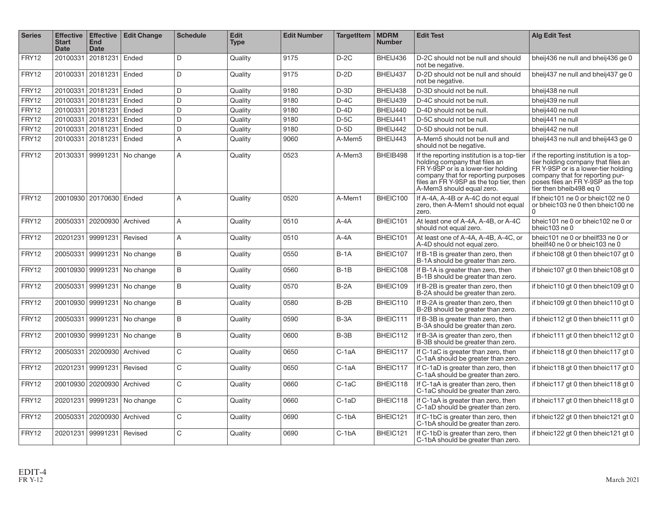| <b>Series</b> | Effective  <br><b>Start</b><br><b>Date</b> | <b>Effective</b><br><b>End</b><br><b>Date</b> | <b>Edit Change</b>          | <b>Schedule</b> | <b>Edit</b><br><b>Type</b> | <b>Edit Number</b> | <b>TargetItem</b> | <b>MDRM</b><br><b>Number</b> | <b>Edit Test</b>                                                                                                                                                                                                                  | <b>Alg Edit Test</b>                                                                                                                                                                                                    |
|---------------|--------------------------------------------|-----------------------------------------------|-----------------------------|-----------------|----------------------------|--------------------|-------------------|------------------------------|-----------------------------------------------------------------------------------------------------------------------------------------------------------------------------------------------------------------------------------|-------------------------------------------------------------------------------------------------------------------------------------------------------------------------------------------------------------------------|
| FRY12         |                                            | 20100331 20181231 Ended                       |                             | D               | Quality                    | 9175               | $D-2C$            | BHEIJ436                     | D-2C should not be null and should<br>not be negative.                                                                                                                                                                            | bheij436 ne null and bheij436 ge 0                                                                                                                                                                                      |
| FRY12         |                                            | 20100331 20181231                             | Ended                       | D               | Quality                    | 9175               | $D-2D$            | BHEIJ437                     | D-2D should not be null and should<br>not be negative.                                                                                                                                                                            | bheij437 ne null and bheij437 ge 0                                                                                                                                                                                      |
| FRY12         | 20100331                                   | 20181231                                      | Ended                       | D               | Quality                    | 9180               | $D-3D$            | BHEIJ438                     | D-3D should not be null.                                                                                                                                                                                                          | bheij438 ne null                                                                                                                                                                                                        |
| FRY12         | 20100331                                   | 20181231                                      | Ended                       | D               | Quality                    | 9180               | $D-4C$            | BHEIJ439                     | D-4C should not be null.                                                                                                                                                                                                          | bheij439 ne null                                                                                                                                                                                                        |
| FRY12         | 20100331                                   | 20181231                                      | Ended                       | D               | Quality                    | 9180               | $D-4D$            | BHEIJ440                     | D-4D should not be null.                                                                                                                                                                                                          | bheij440 ne null                                                                                                                                                                                                        |
| FRY12         | 20100331                                   | 20181231                                      | Ended                       | D               | Quality                    | 9180               | $D-5C$            | BHEIJ441                     | D-5C should not be null.                                                                                                                                                                                                          | bheij441 ne null                                                                                                                                                                                                        |
| FRY12         | 20100331                                   | 20181231                                      | Ended                       | D               | Quality                    | 9180               | $D-5D$            | BHEIJ442                     | D-5D should not be null.                                                                                                                                                                                                          | bheij442 ne null                                                                                                                                                                                                        |
| FRY12         | 20100331                                   | 20181231                                      | Ended                       | $\overline{A}$  | Quality                    | 9060               | A-Mem5            | BHEIJ443                     | A-Mem5 should not be null and<br>should not be negative.                                                                                                                                                                          | bheij443 ne null and bheij443 ge 0                                                                                                                                                                                      |
| FRY12         | 20130331                                   |                                               | 99991231 No change          | $\overline{A}$  | Quality                    | 0523               | A-Mem3            | BHEIB498                     | If the reporting institution is a top-tier<br>holding company that files an<br>FR Y-9SP or is a lower-tier holding<br>company that for reporting purposes<br>files an FR Y-9SP as the top tier, then<br>A-Mem3 should equal zero. | if the reporting institution is a top-<br>tier holding company that files an<br>FR Y-9SP or is a lower-tier holding<br>company that for reporting pur-<br>poses files an FR Y-9SP as the top<br>tier then bheib498 eq 0 |
| FRY12         |                                            | 20010930   20170630   Ended                   |                             | $\overline{A}$  | Quality                    | 0520               | A-Mem1            | BHEIC100                     | If A-4A, A-4B or A-4C do not equal<br>zero, then A-Mem1 should not equal<br>zero.                                                                                                                                                 | If bheic101 ne 0 or bheic102 ne 0<br>or bheic103 ne 0 then bheic100 ne                                                                                                                                                  |
| FRY12         | 20050331                                   | 20200930 Archived                             |                             | $\overline{A}$  | Quality                    | 0510               | $A - 4A$          | BHEIC101                     | At least one of A-4A, A-4B, or A-4C<br>should not equal zero.                                                                                                                                                                     | bheic101 ne 0 or bheic102 ne 0 or<br>bheic103 ne 0                                                                                                                                                                      |
| FRY12         |                                            | 20201231 99991231                             | Revised                     | $\overline{A}$  | Quality                    | 0510               | $A - 4A$          | BHEIC101                     | At least one of A-4A, A-4B, A-4C, or<br>A-4D should not equal zero.                                                                                                                                                               | bheic101 ne 0 or bheilf33 ne 0 or<br>bheilf40 ne 0 or bheic103 ne 0                                                                                                                                                     |
| FRY12         | 20050331                                   | 99991231                                      | No change                   | B               | Quality                    | 0550               | $B-1A$            | BHEIC107                     | If B-1B is greater than zero, then<br>B-1A should be greater than zero.                                                                                                                                                           | if bheic108 gt 0 then bheic107 gt 0                                                                                                                                                                                     |
| FRY12         |                                            | 20010930 99991231                             | No change                   | $\mathsf B$     | Quality                    | 0560               | $B-1B$            | BHEIC108                     | If B-1A is greater than zero, then<br>B-1B should be greater than zero.                                                                                                                                                           | if bheic107 gt 0 then bheic108 gt 0                                                                                                                                                                                     |
| FRY12         | 20050331                                   | 99991231                                      | No change                   | B               | Quality                    | 0570               | $B-2A$            | BHEIC109                     | If B-2B is greater than zero, then<br>B-2A should be greater than zero.                                                                                                                                                           | if bheic110 gt 0 then bheic109 gt 0                                                                                                                                                                                     |
| FRY12         |                                            | 20010930 99991231                             | No change                   | B               | Quality                    | 0580               | $B-2B$            | BHEIC110                     | If B-2A is greater than zero, then<br>B-2B should be greater than zero.                                                                                                                                                           | if bheic109 gt 0 then bheic110 gt 0                                                                                                                                                                                     |
| FRY12         | 20050331                                   | 99991231                                      | No change                   | B               | Quality                    | 0590               | $B-3A$            | BHEIC111                     | If B-3B is greater than zero, then<br>B-3A should be greater than zero.                                                                                                                                                           | if bheic112 gt 0 then bheic111 gt 0                                                                                                                                                                                     |
| FRY12         |                                            | 20010930 99991231                             | No change                   | <sub>B</sub>    | Quality                    | 0600               | $B-3B$            | BHEIC112                     | If B-3A is greater than zero, then<br>B-3B should be greater than zero.                                                                                                                                                           | if bheic111 gt 0 then bheic112 gt 0                                                                                                                                                                                     |
| FRY12         |                                            | 20050331   20200930   Archived                |                             | $\mathsf{C}$    | Quality                    | 0650               | $C-1aA$           | BHEIC117                     | If C-1aC is greater than zero, then<br>C-1aA should be greater than zero.                                                                                                                                                         | if bheic118 gt 0 then bheic117 gt 0                                                                                                                                                                                     |
| FRY12         | 20201231                                   | 99991231                                      | Revised                     | $\mathsf{C}$    | Quality                    | 0650               | $C-1aA$           | BHEIC117                     | If C-1aD is greater than zero, then<br>C-1aA should be greater than zero.                                                                                                                                                         | if bheic118 gt 0 then bheic117 gt 0                                                                                                                                                                                     |
| FRY12         |                                            | 20010930   20200930   Archived                |                             | $\mathsf{C}$    | Quality                    | 0660               | $C-1aC$           | BHEIC118                     | If C-1aA is greater than zero, then<br>C-1aC should be greater than zero.                                                                                                                                                         | if bheic117 gt 0 then bheic118 gt 0                                                                                                                                                                                     |
| FRY12         |                                            |                                               | 20201231 99991231 No change | C               | Quality                    | 0660               | $C-1aD$           | BHEIC118                     | If C-1aA is greater than zero, then<br>C-1aD should be greater than zero.                                                                                                                                                         | if bheic117 gt 0 then bheic118 gt 0                                                                                                                                                                                     |
| FRY12         | 20050331                                   | 20200930 Archived                             |                             | C               | Quality                    | 0690               | $C-1bA$           | BHEIC121                     | If C-1bC is greater than zero, then<br>C-1bA should be greater than zero.                                                                                                                                                         | if bheic122 gt 0 then bheic121 gt 0                                                                                                                                                                                     |
| FRY12         |                                            | 20201231   99991231   Revised                 |                             | $\mathsf{C}$    | Quality                    | 0690               | $C-1bA$           | BHEIC121                     | If C-1bD is greater than zero, then<br>C-1bA should be greater than zero.                                                                                                                                                         | if bheic122 gt 0 then bheic121 gt 0                                                                                                                                                                                     |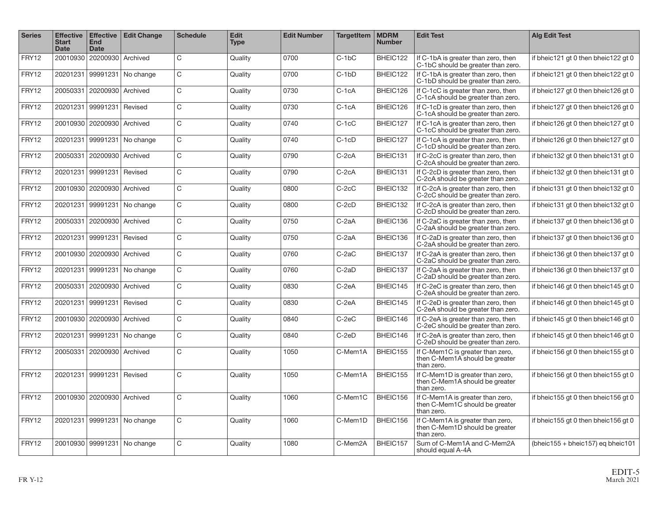| <b>Series</b> | <b>Effective</b><br><b>Start</b><br><b>Date</b> | <b>Effective</b><br><b>End</b><br><b>Date</b> | <b>Edit Change</b>          | <b>Schedule</b> | <b>Edit</b><br><b>Type</b> | <b>Edit Number</b> | <b>TargetItem</b> | <b>MDRM</b><br><b>Number</b> | <b>Edit Test</b>                                                                 | <b>Alg Edit Test</b>                        |
|---------------|-------------------------------------------------|-----------------------------------------------|-----------------------------|-----------------|----------------------------|--------------------|-------------------|------------------------------|----------------------------------------------------------------------------------|---------------------------------------------|
| FRY12         | 20010930                                        | 20200930 Archived                             |                             | $\mathsf{C}$    | Quality                    | 0700               | $C-1bC$           | BHEIC122                     | If C-1bA is greater than zero, then<br>C-1bC should be greater than zero.        | if bheic121 gt 0 then bheic122 gt 0         |
| FRY12         | 20201231                                        | 99991231                                      | No change                   | $\mathsf{C}$    | Quality                    | 0700               | $C-1bD$           | BHEIC122                     | If C-1bA is greater than zero, then<br>C-1bD should be greater than zero.        | if bheic121 gt 0 then bheic122 gt 0         |
| FRY12         | 20050331                                        | 20200930 Archived                             |                             | $\mathsf{C}$    | Quality                    | 0730               | $C-1cA$           | BHEIC126                     | If C-1cC is greater than zero, then<br>C-1cA should be greater than zero.        | if bheic127 gt 0 then bheic126 gt 0         |
| FRY12         | 20201231                                        | 99991231                                      | Revised                     | $\mathsf{C}$    | Quality                    | 0730               | $C-1cA$           | BHEIC126                     | If C-1cD is greater than zero, then<br>C-1cA should be greater than zero.        | if bheic127 gt 0 then bheic126 gt 0         |
| FRY12         | 20010930                                        | 20200930 Archived                             |                             | $\mathsf{C}$    | Quality                    | 0740               | $C-1cC$           | BHEIC127                     | If C-1cA is greater than zero, then<br>C-1cC should be greater than zero.        | if bheic126 gt 0 then bheic127 gt 0         |
| FRY12         | 20201231                                        | 99991231                                      | No change                   | $\mathsf{C}$    | Quality                    | 0740               | $C-1cD$           | BHEIC127                     | If C-1cA is greater than zero, then<br>C-1cD should be greater than zero.        | if bheic126 gt 0 then bheic127 gt 0         |
| FRY12         | 20050331                                        | 20200930 Archived                             |                             | C               | Quality                    | 0790               | $C-2cA$           | BHEIC131                     | If C-2cC is greater than zero, then<br>C-2cA should be greater than zero.        | if bheic132 gt 0 then bheic131 gt 0         |
| FRY12         | 20201231                                        | 99991231                                      | Revised                     | $\mathsf{C}$    | Quality                    | 0790               | $C-2cA$           | BHEIC131                     | If C-2cD is greater than zero, then<br>C-2cA should be greater than zero.        | if bheic132 gt 0 then bheic131 gt 0         |
| FRY12         |                                                 | 20010930   20200930                           | Archived                    | $\mathsf C$     | Quality                    | 0800               | $C-2cC$           | BHEIC132                     | If C-2cA is greater than zero, then<br>C-2cC should be greater than zero.        | if bheic131 gt 0 then bheic132 gt 0         |
| FRY12         |                                                 |                                               | 20201231 99991231 No change | $\mathsf{C}$    | Quality                    | 0800               | $C-2cD$           | BHEIC132                     | If C-2cA is greater than zero, then<br>C-2cD should be greater than zero.        | if bheic131 gt 0 then bheic132 gt 0         |
| FRY12         | 20050331                                        | 20200930 Archived                             |                             | $\mathsf{C}$    | Quality                    | 0750               | $C-2aA$           | BHEIC136                     | If C-2aC is greater than zero, then<br>C-2aA should be greater than zero.        | if bheic137 gt 0 then bheic136 gt 0         |
| FRY12         | 20201231                                        | 99991231                                      | Revised                     | $\mathsf{C}$    | Quality                    | 0750               | $C-2aA$           | BHEIC136                     | If C-2aD is greater than zero, then<br>C-2aA should be greater than zero.        | if bheic137 gt 0 then bheic136 gt 0         |
| FRY12         |                                                 | 20010930   20200930   Archived                |                             | $\mathsf{C}$    | Quality                    | 0760               | C-2aC             | BHEIC137                     | If C-2aA is greater than zero, then<br>C-2aC should be greater than zero.        | if bheic136 gt 0 then bheic137 gt 0         |
| FRY12         | 20201231                                        | 99991231                                      | No change                   | C               | Quality                    | 0760               | $C-2aD$           | BHEIC137                     | If C-2aA is greater than zero, then<br>C-2aD should be greater than zero.        | if bheic136 gt 0 then bheic137 gt 0         |
| FRY12         | 20050331                                        | 20200930 Archived                             |                             | $\mathsf{C}$    | Quality                    | 0830               | $C-2eA$           | BHEIC145                     | If C-2eC is greater than zero, then<br>C-2eA should be greater than zero.        | if bheic146 gt 0 then bheic145 gt 0         |
| FRY12         | 20201231                                        | 99991231                                      | Revised                     | $\mathsf{C}$    | Quality                    | 0830               | $C-2eA$           | BHEIC145                     | If C-2eD is greater than zero, then<br>C-2eA should be greater than zero.        | if bheic146 gt 0 then bheic145 gt 0         |
| FRY12         |                                                 | 20010930 20200930 Archived                    |                             | $\mathsf{C}$    | Quality                    | 0840               | $C-2eC$           | BHEIC146                     | If C-2eA is greater than zero, then<br>C-2eC should be greater than zero.        | if bheic145 gt 0 then bheic146 gt 0         |
| FRY12         | 20201231                                        |                                               | 99991231 No change          | $\mathsf{C}$    | Quality                    | 0840               | $C-2eD$           | BHEIC146                     | If C-2eA is greater than zero, then<br>C-2eD should be greater than zero.        | if bheic145 gt 0 then bheic146 gt 0         |
| FRY12         |                                                 | 20050331   20200930   Archived                |                             | $\mathsf{C}$    | Quality                    | 1050               | C-Mem1A           | BHEIC155                     | If C-Mem1C is greater than zero,<br>then C-Mem1A should be greater<br>than zero. | if bheic156 gt 0 then bheic155 gt 0         |
| FRY12         |                                                 | 20201231 99991231                             | Revised                     | $\mathsf{C}$    | Quality                    | 1050               | C-Mem1A           | BHEIC155                     | If C-Mem1D is greater than zero,<br>then C-Mem1A should be greater<br>than zero. | if bheic156 gt 0 then bheic155 gt 0         |
| FRY12         |                                                 | 20010930 20200930 Archived                    |                             | $\mathsf{C}$    | Quality                    | 1060               | C-Mem1C           | BHEIC156                     | If C-Mem1A is greater than zero,<br>then C-Mem1C should be greater<br>than zero. | if bheic155 gt 0 then bheic156 gt 0         |
| FRY12         |                                                 |                                               | 20201231 99991231 No change | $\mathsf{C}$    | Quality                    | 1060               | C-Mem1D           | BHEIC156                     | If C-Mem1A is greater than zero,<br>then C-Mem1D should be greater<br>than zero. | if bheic155 gt 0 then bheic156 gt 0         |
| FRY12         |                                                 |                                               | 20010930 99991231 No change | C               | Quality                    | 1080               | C-Mem2A           | BHEIC157                     | Sum of C-Mem1A and C-Mem2A<br>should equal A-4A                                  | (bheic $155 +$ bheic $157$ ) eq bheic $101$ |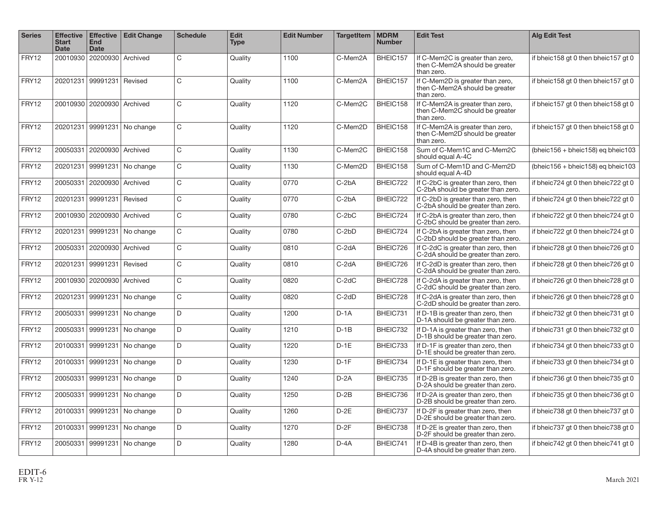| <b>Series</b> | <b>Effective</b><br><b>Start</b><br>Date | <b>Effective</b><br><b>End</b><br><b>Date</b> | <b>Edit Change</b>          | <b>Schedule</b> | <b>Edit</b><br><b>Type</b> | <b>Edit Number</b> | <b>TargetItem</b>    | <b>MDRM</b><br><b>Number</b> | <b>Edit Test</b>                                                                 | <b>Alg Edit Test</b>                            |
|---------------|------------------------------------------|-----------------------------------------------|-----------------------------|-----------------|----------------------------|--------------------|----------------------|------------------------------|----------------------------------------------------------------------------------|-------------------------------------------------|
| FRY12         | 20010930                                 | 20200930 Archived                             |                             | $\mathsf{C}$    | Quality                    | 1100               | C-Mem2A              | BHEIC157                     | If C-Mem2C is greater than zero,<br>then C-Mem2A should be greater<br>than zero. | if bheic158 gt 0 then bheic157 gt 0             |
| FRY12         | 20201231                                 | 99991231                                      | Revised                     | $\mathsf{C}$    | Quality                    | 1100               | C-Mem <sub>2</sub> A | BHEIC157                     | If C-Mem2D is greater than zero,<br>then C-Mem2A should be greater<br>than zero. | if bheic158 gt 0 then bheic157 gt 0             |
| FRY12         |                                          | 20010930 20200930 Archived                    |                             | $\mathsf{C}$    | Quality                    | 1120               | C-Mem2C              | BHEIC158                     | If C-Mem2A is greater than zero,<br>then C-Mem2C should be greater<br>than zero. | if bheic157 gt 0 then bheic158 gt 0             |
| FRY12         |                                          | 20201231 99991231                             | No change                   | $\mathsf{C}$    | Quality                    | 1120               | C-Mem2D              | BHEIC158                     | If C-Mem2A is greater than zero,<br>then C-Mem2D should be greater<br>than zero. | if bheic157 gt 0 then bheic158 gt 0             |
| FRY12         |                                          | 20050331 20200930 Archived                    |                             | $\mathsf{C}$    | Quality                    | 1130               | C-Mem2C              | BHEIC158                     | Sum of C-Mem1C and C-Mem2C<br>should equal A-4C                                  | (bheic $156 + \text{bheic158}$ ) eg bheic $103$ |
| FRY12         | 20201231                                 | 99991231                                      | No change                   | $\mathsf{C}$    | Quality                    | 1130               | C-Mem2D              | BHEIC158                     | Sum of C-Mem1D and C-Mem2D<br>should equal A-4D                                  | (bheic $156 + \text{bheic158}$ ) eg bheic $103$ |
| FRY12         |                                          | 20050331 20200930 Archived                    |                             | $\mathsf{C}$    | Quality                    | 0770               | $C-2bA$              | BHEIC722                     | If C-2bC is greater than zero, then<br>C-2bA should be greater than zero.        | if bheic724 gt 0 then bheic722 gt 0             |
| FRY12         | 20201231                                 | 99991231                                      | Revised                     | $\mathsf{C}$    | Quality                    | 0770               | $C-2bA$              | BHEIC722                     | If C-2bD is greater than zero, then<br>C-2bA should be greater than zero.        | if bheic724 gt 0 then bheic722 gt 0             |
| FRY12         |                                          | 20010930   20200930   Archived                |                             | $\mathsf{C}$    | Quality                    | 0780               | $C-2bC$              | BHEIC724                     | If C-2bA is greater than zero, then<br>C-2bC should be greater than zero.        | if bheic722 gt 0 then bheic724 gt 0             |
| FRY12         |                                          |                                               | 20201231 99991231 No change | $\mathsf{C}$    | Quality                    | 0780               | $C-2bD$              | BHEIC724                     | If C-2bA is greater than zero, then<br>C-2bD should be greater than zero.        | if bheic722 gt 0 then bheic724 gt 0             |
| FRY12         | 20050331                                 | 20200930 Archived                             |                             | $\mathsf C$     | Quality                    | 0810               | C-2dA                | BHEIC726                     | If C-2dC is greater than zero, then<br>C-2dA should be greater than zero.        | if bheic728 gt 0 then bheic726 gt 0             |
| FRY12         |                                          | 20201231 99991231                             | Revised                     | C               | Quality                    | 0810               | $C-2dA$              | BHEIC726                     | If C-2dD is greater than zero, then<br>C-2dA should be greater than zero.        | if bheic728 gt 0 then bheic726 gt 0             |
| FRY12         | 20010930                                 | 20200930 Archived                             |                             | $\mathsf{C}$    | Quality                    | 0820               | $C-2dC$              | BHEIC728                     | If C-2dA is greater than zero, then<br>C-2dC should be greater than zero.        | if bheic726 gt 0 then bheic728 gt 0             |
| FRY12         |                                          | 20201231 99991231                             | No change                   | C               | Quality                    | 0820               | $C-2dD$              | BHEIC728                     | If C-2dA is greater than zero, then<br>C-2dD should be greater than zero.        | if bheic726 gt 0 then bheic728 gt 0             |
| FRY12         | 20050331                                 | 99991231                                      | No change                   | D               | Quality                    | 1200               | $D-1A$               | BHEIC731                     | If D-1B is greater than zero, then<br>D-1A should be greater than zero.          | if bheic732 gt 0 then bheic731 gt 0             |
| FRY12         | 20050331                                 | 99991231                                      | No change                   | D               | Quality                    | 1210               | $D-1B$               | BHEIC732                     | If D-1A is greater than zero, then<br>D-1B should be greater than zero.          | if bheic731 gt 0 then bheic732 gt 0             |
| FRY12         | 20100331                                 | 99991231                                      | No change                   | D.              | Quality                    | 1220               | $D-1E$               | BHEIC733                     | If D-1F is greater than zero, then<br>D-1E should be greater than zero.          | if bheic734 gt 0 then bheic733 gt 0             |
| FRY12         | 20100331                                 | 99991231                                      | No change                   | D               | Quality                    | 1230               | $D-1F$               | BHEIC734                     | If D-1E is greater than zero, then<br>D-1F should be greater than zero.          | if bheic733 gt 0 then bheic734 gt 0             |
| FRY12         |                                          | 20050331 99991231                             | No change                   | D               | Quality                    | 1240               | $D-2A$               | BHEIC735                     | If D-2B is greater than zero, then<br>D-2A should be greater than zero.          | if bheic736 gt 0 then bheic735 gt 0             |
| FRY12         | 20050331                                 | 99991231                                      | No change                   | D               | Quality                    | 1250               | $D-2B$               | BHEIC736                     | If D-2A is greater than zero, then<br>D-2B should be greater than zero.          | if bheic735 gt 0 then bheic736 gt 0             |
| FRY12         | 20100331                                 | 99991231                                      | No change                   | D               | Quality                    | 1260               | $D-2E$               | BHEIC737                     | If D-2F is greater than zero, then<br>D-2E should be greater than zero.          | if bheic738 gt 0 then bheic737 gt 0             |
| FRY12         | 20100331                                 | 99991231                                      | No change                   | D               | Quality                    | 1270               | $D-2F$               | BHEIC738                     | If D-2E is greater than zero, then<br>D-2F should be greater than zero.          | if bheic737 gt 0 then bheic738 gt 0             |
| FRY12         | 20050331                                 |                                               | 99991231 No change          | D               | Quality                    | 1280               | $D - 4A$             | BHEIC741                     | If D-4B is greater than zero, then<br>D-4A should be greater than zero.          | if bheic742 gt 0 then bheic741 gt 0             |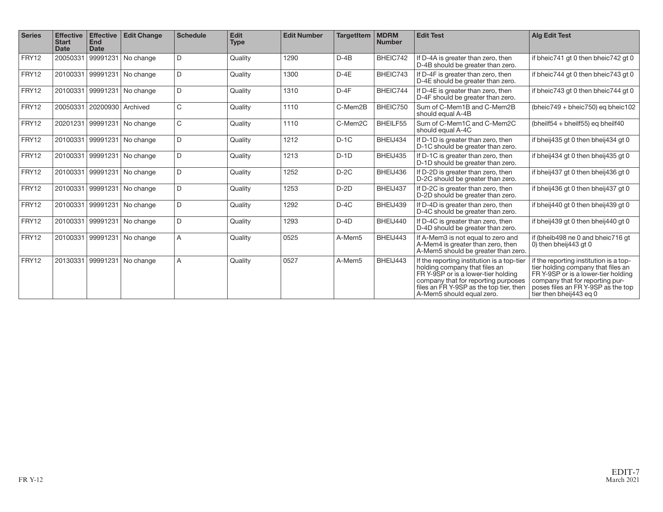| <b>Series</b> | <b>Effective</b><br><b>Start</b><br><b>Date</b> | <b>Effective</b><br><b>End</b><br><b>Date</b> | <b>Edit Change</b>          | <b>Schedule</b> | Edit<br><b>Type</b> | <b>Edit Number</b> | <b>TargetItem</b> | <b>MDRM</b><br><b>Number</b> | <b>Edit Test</b>                                                                                                                                                                                                                  | <b>Alg Edit Test</b>                                                                                                                                                                                                    |
|---------------|-------------------------------------------------|-----------------------------------------------|-----------------------------|-----------------|---------------------|--------------------|-------------------|------------------------------|-----------------------------------------------------------------------------------------------------------------------------------------------------------------------------------------------------------------------------------|-------------------------------------------------------------------------------------------------------------------------------------------------------------------------------------------------------------------------|
| FRY12         | 20050331                                        | 99991231                                      | No change                   | D               | Quality             | 1290               | $D-4B$            | BHEIC742                     | If D-4A is greater than zero, then<br>D-4B should be greater than zero.                                                                                                                                                           | if bheic741 gt 0 then bheic742 gt 0                                                                                                                                                                                     |
| FRY12         | 20100331                                        | 99991231                                      | No change                   | D               | Quality             | 1300               | $D-4E$            | BHEIC743                     | If D-4F is greater than zero, then<br>D-4E should be greater than zero.                                                                                                                                                           | if bheic744 gt 0 then bheic743 gt 0                                                                                                                                                                                     |
| FRY12         | 20100331                                        | 99991231                                      | No change                   | D               | Quality             | 1310               | $D-4F$            | BHEIC744                     | If D-4E is greater than zero, then<br>D-4F should be greater than zero.                                                                                                                                                           | if bheic743 gt 0 then bheic744 gt 0                                                                                                                                                                                     |
| FRY12         | 20050331                                        | 20200930 Archived                             |                             | C               | Quality             | 1110               | C-Mem2B           | BHEIC750                     | Sum of C-Mem1B and C-Mem2B<br>should equal A-4B                                                                                                                                                                                   | (bheic $749 + b$ heic $750$ ) eg bheic $102$                                                                                                                                                                            |
| FRY12         | 20201231                                        |                                               | 99991231 No change          | C               | Quality             | 1110               | C-Mem2C           | BHEILF55                     | Sum of C-Mem1C and C-Mem2C<br>should equal A-4C                                                                                                                                                                                   | (bheilf54 + bheilf55) eg bheilf40                                                                                                                                                                                       |
| FRY12         | 20100331                                        |                                               | 99991231 No change          | D               | Quality             | 1212               | $D-1C$            | BHEIJ434                     | If D-1D is greater than zero, then<br>D-1C should be greater than zero.                                                                                                                                                           | if bheij435 gt 0 then bheij434 gt 0                                                                                                                                                                                     |
| FRY12         | 20100331                                        |                                               | 99991231 No change          | D               | Quality             | 1213               | $D-1D$            | BHEIJ435                     | If D-1C is greater than zero, then<br>D-1D should be greater than zero.                                                                                                                                                           | if bheij434 gt 0 then bheij435 gt 0                                                                                                                                                                                     |
| FRY12         | 20100331                                        |                                               | 99991231 No change          | D               | Quality             | 1252               | $D-2C$            | BHEIJ436                     | If D-2D is greater than zero, then<br>D-2C should be greater than zero.                                                                                                                                                           | if bheij437 gt 0 then bheij436 gt 0                                                                                                                                                                                     |
| FRY12         | 20100331                                        |                                               | 99991231 No change          | D               | Quality             | 1253               | $D-2D$            | BHEIJ437                     | If D-2C is greater than zero, then<br>D-2D should be greater than zero.                                                                                                                                                           | if bheij436 gt 0 then bheij437 gt 0                                                                                                                                                                                     |
| FRY12         | 20100331                                        | 99991231                                      | No change                   | D               | Quality             | 1292               | $D-4C$            | BHEIJ439                     | If D-4D is greater than zero, then<br>D-4C should be greater than zero.                                                                                                                                                           | if bheij440 gt 0 then bheij439 gt 0                                                                                                                                                                                     |
| FRY12         | 20100331                                        |                                               | 99991231 No change          | D               | Quality             | 1293               | $D-4D$            | BHEIJ440                     | If D-4C is greater than zero, then<br>D-4D should be greater than zero.                                                                                                                                                           | if bheij439 gt 0 then bheij440 gt 0                                                                                                                                                                                     |
| FRY12         | 20100331                                        | 99991231                                      | No change                   | A               | Quality             | 0525               | A-Mem5            | BHEIJ443                     | If A-Mem3 is not equal to zero and<br>A-Mem4 is greater than zero, then<br>A-Mem5 should be greater than zero.                                                                                                                    | if (bheib498 ne 0 and bheic716 gt<br>0) then bheij443 gt 0                                                                                                                                                              |
| FRY12         |                                                 |                                               | 20130331 99991231 No change | A               | Quality             | 0527               | A-Mem5            | BHEIJ443                     | If the reporting institution is a top-tier<br>holding company that files an<br>FR Y-9SP or is a lower-tier holding<br>company that for reporting purposes<br>files an FR Y-9SP as the top tier, then<br>A-Mem5 should equal zero. | if the reporting institution is a top-<br>tier holding company that files an<br>FR Y-9SP or is a lower-tier holding<br>company that for reporting pur-<br>poses files an FR Y-9SP as the top<br>tier then bheij443 eq 0 |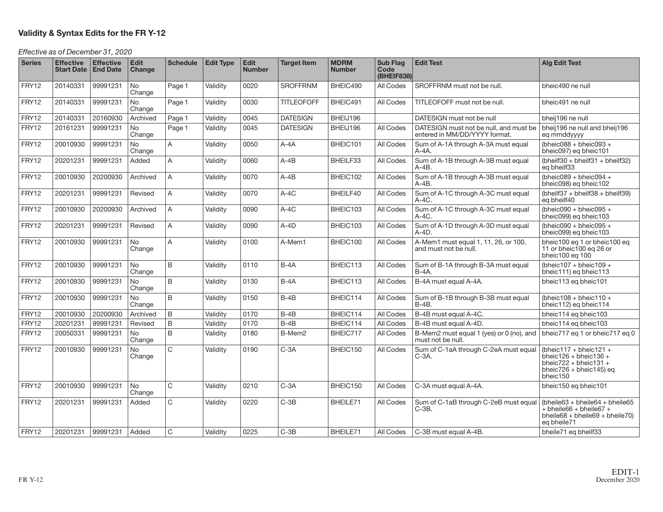#### **Validity & Syntax Edits for the FR Y-12**

#### Effective as of December 31, 2020

| <b>Series</b> | <b>Effective</b><br><b>Start Date</b> | <b>Effective</b><br><b>End Date</b> | Edit<br>Change      | <b>Schedule</b> | <b>Edit Type</b> | Edit<br><b>Number</b> | <b>Target Item</b> | <b>MDRM</b><br><b>Number</b> | <b>Sub Flag</b><br>Code<br>(BHEIF838) | <b>Edit Test</b>                                                        | <b>Alg Edit Test</b>                                                                                                                        |
|---------------|---------------------------------------|-------------------------------------|---------------------|-----------------|------------------|-----------------------|--------------------|------------------------------|---------------------------------------|-------------------------------------------------------------------------|---------------------------------------------------------------------------------------------------------------------------------------------|
| FRY12         | 20140331                              | 99991231                            | <b>No</b><br>Change | Page 1          | Validity         | 0020                  | <b>SROFFRNM</b>    | BHEIC490                     | All Codes                             | SROFFRNM must not be null.                                              | bheic490 ne null                                                                                                                            |
| FRY12         | 20140331                              | 99991231                            | No<br>Change        | Page 1          | Validity         | 0030                  | <b>TITLEOFOFF</b>  | BHEIC491                     | All Codes                             | TITLEOFOFF must not be null.                                            | bheic491 ne null                                                                                                                            |
| FRY12         | 20140331                              | 20160930                            | Archived            | Page 1          | Validity         | 0045                  | <b>DATESIGN</b>    | BHEIJ196                     |                                       | DATESIGN must not be null                                               | bheij196 ne null                                                                                                                            |
| FRY12         | 20161231                              | 99991231                            | <b>No</b><br>Change | Page 1          | Validity         | 0045                  | <b>DATESIGN</b>    | BHEIJ196                     | All Codes                             | DATESIGN must not be null, and must be<br>entered in MM/DD/YYYY format. | bheij196 ne null and bheij196<br>eq mmddyyyy                                                                                                |
| FRY12         | 20010930                              | 99991231                            | <b>No</b><br>Change | A               | Validity         | 0050                  | $A - 4A$           | BHEIC101                     | All Codes                             | Sum of A-1A through A-3A must equal<br>A-4A.                            | (bheic $088 +$ bheic $093 +$<br>bheic097) eq bheic101                                                                                       |
| FRY12         | 20201231                              | 99991231                            | Added               | A               | Validity         | 0060                  | A-4B               | BHEILF33                     | All Codes                             | Sum of A-1B through A-3B must equal<br>$A-4B$ .                         | $(bheilf30 + bheilf31 + bheilf32)$<br>eg bheilf33                                                                                           |
| FRY12         | 20010930                              | 20200930                            | Archived            | A               | Validity         | 0070                  | $A-4B$             | BHEIC102                     | All Codes                             | Sum of A-1B through A-3B must equal<br>$A-4B.$                          | (bheic089 + bheic094 +<br>bheic098) eg bheic102                                                                                             |
| FRY12         | 20201231                              | 99991231                            | Revised             | A               | Validity         | 0070                  | $A-4C$             | BHEILF40                     | All Codes                             | Sum of A-1C through A-3C must equal<br>$A-4C$ .                         | $(bheilf37 + bheilf38 + bheilf39)$<br>eq bheilf40                                                                                           |
| FRY12         | 20010930                              | 20200930                            | Archived            | A               | Validity         | 0090                  | $A-4C$             | BHEIC103                     | All Codes                             | Sum of A-1C through A-3C must equal<br>$A-4C$ .                         | (bheic090 + bheic095 +<br>bheic099) eq bheic103                                                                                             |
| FRY12         | 20201231                              | 99991231                            | Revised             | A               | Validity         | 0090                  | A-4D               | BHEIC103                     | All Codes                             | Sum of A-1D through A-3D must equal<br>$A-4D.$                          | (bheic090 + bheic095 +<br>bheic099) ea bheic103                                                                                             |
| FRY12         | 20010930                              | 99991231                            | <b>No</b><br>Change | A               | Validity         | 0100                  | A-Mem1             | BHEIC100                     | All Codes                             | A-Mem1 must equal 1, 11, 26, or 100,<br>and must not be null.           | bheic100 eg 1 or bheic100 eg<br>11 or bheic100 eq 26 or<br>bheic100 eq 100                                                                  |
| FRY12         | 20010930                              | 99991231                            | <b>No</b><br>Change | B               | Validity         | 0110                  | $B-4A$             | BHEIC113                     | All Codes                             | Sum of B-1A through B-3A must equal<br>$B-4A$ .                         | (bheic $107 +$ bheic $109 +$<br>bheic111) eg bheic113                                                                                       |
| FRY12         | 20010930                              | 99991231                            | <b>No</b><br>Change | B               | Validity         | 0130                  | $B - 4A$           | BHEIC113                     | All Codes                             | B-4A must equal A-4A.                                                   | bheic113 eq bheic101                                                                                                                        |
| FRY12         | 20010930                              | 99991231                            | No<br>Change        | B               | Validity         | 0150                  | $B-4B$             | BHEIC114                     | All Codes                             | Sum of B-1B through B-3B must equal<br><b>B-4B.</b>                     | (bheic $108 + \text{bheic}110 +$<br>bheic112) eq bheic114                                                                                   |
| FRY12         | 20010930                              | 20200930                            | Archived            | B               | Validity         | 0170                  | $B-4B$             | BHEIC114                     | All Codes                             | B-4B must equal A-4C.                                                   | bheic114 eg bheic103                                                                                                                        |
| FRY12         | 20201231                              | 99991231                            | Revised             | B               | Validity         | 0170                  | $B-4B$             | BHEIC114                     | All Codes                             | B-4B must equal A-4D.                                                   | bheic114 eq bheic103                                                                                                                        |
| FRY12         | 20050331                              | 99991231                            | <b>No</b><br>Change | B               | Validity         | 0180                  | B-Mem2             | BHEIC717                     | All Codes                             | B-Mem2 must equal 1 (yes) or 0 (no), and<br>must not be null.           | bheic717 eg 1 or bheic717 eg 0                                                                                                              |
| FRY12         | 20010930                              | 99991231                            | No<br>Change        | C               | Validity         | 0190                  | $C-3A$             | BHEIC150                     | All Codes                             | Sum of C-1aA through C-2eA must equal<br>C-3A.                          | (bheic $117 + b$ heic $121 +$<br>bheic $126 +$ bheic $136 +$<br>bheic $722 + b$ heic $131 +$<br>bheic $726 + b$ heic $145$ ) eq<br>bheic150 |
| FRY12         | 20010930                              | 99991231                            | <b>No</b><br>Change | C               | Validity         | 0210                  | $C-3A$             | BHEIC150                     | All Codes                             | C-3A must equal A-4A.                                                   | bheic150 eq bheic101                                                                                                                        |
| FRY12         | 20201231                              | 99991231                            | Added               | C               | Validity         | 0220                  | $C-3B$             | BHEILE71                     | All Codes                             | Sum of C-1aB through C-2eB must equal<br>$C-3B.$                        | $(bheile63 + bheile64 + bheile65$<br>$+$ bheile66 + bheile67 +<br>$bheile68 + bheile69 + bheile70$<br>eg bheile71                           |
| FRY12         | 20201231                              | 99991231                            | Added               | $\mathsf{C}$    | Validity         | 0225                  | $C-3B$             | BHEILE71                     | All Codes                             | C-3B must equal A-4B.                                                   | bheile71 eg bheilf33                                                                                                                        |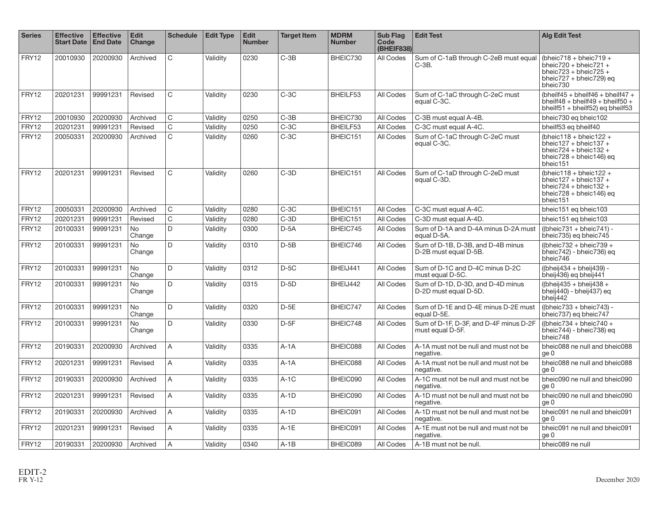| <b>Series</b> | <b>Effective</b><br><b>Start Date</b> | <b>Effective</b><br><b>End Date</b> | <b>Edit</b><br>Change | <b>Schedule</b> | <b>Edit Type</b> | <b>Edit</b><br><b>Number</b> | <b>Target Item</b> | <b>MDRM</b><br><b>Number</b> | Sub Flag<br>Code<br>(BHEIF838) | <b>Edit Test</b>                                           | <b>Alg Edit Test</b>                                                                                                                            |
|---------------|---------------------------------------|-------------------------------------|-----------------------|-----------------|------------------|------------------------------|--------------------|------------------------------|--------------------------------|------------------------------------------------------------|-------------------------------------------------------------------------------------------------------------------------------------------------|
| FRY12         | 20010930                              | 20200930                            | Archived              | $\mathsf{C}$    | Validity         | 0230                         | $C-3B$             | BHEIC730                     | All Codes                      | Sum of C-1aB through C-2eB must equal<br>$C-3B.$           | (bheic718 + bheic719 +<br>bheic $720 + b$ heic $721 +$<br>bheic $723 + b$ heic $725 +$<br>bheic727 + bheic729) eq<br>bheic730                   |
| FRY12         | 20201231                              | 99991231                            | Revised               | $\mathsf{C}$    | Validity         | 0230                         | $C-3C$             | BHEILF53                     | All Codes                      | Sum of C-1aC through C-2eC must<br>equal C-3C.             | (bheilf45 + bheilf46 + bheilf47 +<br>$b$ heilf48 + bheilf49 + bheilf50 +<br>bheilf51 + bheilf52) eq bheilf53                                    |
| FRY12         | 20010930                              | 20200930                            | Archived              | C               | Validity         | 0250                         | $C-3B$             | BHEIC730                     | All Codes                      | C-3B must equal A-4B.                                      | bheic730 eq bheic102                                                                                                                            |
| FRY12         | 20201231                              | 99991231                            | Revised               | C               | Validity         | 0250                         | $C-3C$             | BHEILF53                     | All Codes                      | C-3C must equal A-4C.                                      | bheilf53 eq bheilf40                                                                                                                            |
| <b>FRY12</b>  | 20050331                              | 20200930                            | Archived              | $\mathsf{C}$    | Validity         | 0260                         | $C-3C$             | BHEIC151                     | All Codes                      | Sum of C-1aC through C-2eC must<br>equal C-3C.             | (bheic $118 + \text{bheic}122 +$<br>bheic $127 +$ bheic $137 +$<br>bheic $724 + b$ heic $132 +$<br>bheic $728 + b$ heic $146$ ) eq<br>bheic151  |
| FRY12         | 20201231                              | 99991231                            | Revised               | C.              | Validity         | 0260                         | $C-3D$             | BHEIC151                     | All Codes                      | Sum of C-1aD through C-2eD must<br>equal C-3D.             | (bheic $118 + \text{bheic122} +$<br>bheic $127 + b$ heic $137 +$<br>bheic $724 + b$ heic $132 +$<br>bheic $728 + b$ heic $146$ ) eq<br>bheic151 |
| FRY12         | 20050331                              | 20200930                            | Archived              | C               | Validity         | 0280                         | $C-3C$             | BHEIC151                     | All Codes                      | C-3C must equal A-4C.                                      | bheic151 eq bheic103                                                                                                                            |
| <b>FRY12</b>  | 20201231                              | 99991231                            | Revised               | C               | Validity         | 0280                         | $C-3D$             | BHEIC151                     | All Codes                      | C-3D must equal A-4D.                                      | bheic151 eg bheic103                                                                                                                            |
| FRY12         | 20100331                              | 99991231                            | <b>No</b><br>Change   | D               | Validitv         | 0300                         | $D-5A$             | BHEIC745                     | All Codes                      | Sum of D-1A and D-4A minus D-2A must<br>equal D-5A.        | $(Ibheic731 + bheic741) -$<br>bheic735) eq bheic745                                                                                             |
| FRY12         | 20100331                              | 99991231                            | No<br>Change          | D               | Validity         | 0310                         | $D-5B$             | BHEIC746                     | All Codes                      | Sum of D-1B, D-3B, and D-4B minus<br>D-2B must equal D-5B. | ((bheic732 + bheic739 +<br>bheic742) - bheic736) eq<br>bheic746                                                                                 |
| FRY12         | 20100331                              | 99991231                            | No<br>Change          | D               | Validity         | 0312                         | $D-5C$             | BHEIJ441                     | All Codes                      | Sum of D-1C and D-4C minus D-2C<br>must equal D-5C.        | ((bheij434 + bheij439) -<br>bheij436) eq bheij441                                                                                               |
| <b>FRY12</b>  | 20100331                              | 99991231                            | <b>No</b><br>Change   | D               | Validity         | 0315                         | $D-5D$             | BHEIJ442                     | All Codes                      | Sum of D-1D, D-3D, and D-4D minus<br>D-2D must equal D-5D. | ((bheij $435 + b$ heij $438 +$<br>$\overline{b}$ heij $\overline{4}40$ ) - bheij $\overline{4}37$ ) eq<br>bheij442                              |
| <b>FRY12</b>  | 20100331                              | 99991231                            | No<br>Change          | D               | Validity         | 0320                         | $D-5E$             | BHEIC747                     | All Codes                      | Sum of D-1E and D-4E minus D-2E must<br>equal D-5E.        | ((bheic733 + bheic743) -<br>bheic737) eg bheic747                                                                                               |
| FRY12         | 20100331                              | 99991231                            | No<br>Change          | D.              | Validity         | 0330                         | $D-5F$             | BHEIC748                     | All Codes                      | Sum of D-1F, D-3F, and D-4F minus D-2F<br>must equal D-5F. | ((bheic734 + bheic740 +<br>bheic744) - bheic738) eq<br>bheic748                                                                                 |
| FRY12         | 20190331                              | 20200930                            | Archived              | A               | Validity         | 0335                         | $A-1A$             | BHEIC088                     | All Codes                      | A-1A must not be null and must not be<br>negative.         | bheic088 ne null and bheic088<br>ge 0                                                                                                           |
| FRY12         | 20201231                              | 99991231                            | Revised               | A               | Validity         | 0335                         | $A-1A$             | BHEIC088                     | All Codes                      | A-1A must not be null and must not be<br>negative.         | bheic088 ne null and bheic088<br>ge 0                                                                                                           |
| FRY12         | 20190331                              | 20200930                            | Archived              | $\overline{A}$  | Validity         | 0335                         | $A-1C$             | BHEIC090                     | All Codes                      | A-1C must not be null and must not be<br>negative.         | bheic090 ne null and bheic090<br>ge 0                                                                                                           |
| FRY12         | 20201231                              | 99991231                            | Revised               | A               | Validity         | 0335                         | $A-1D$             | BHEIC090                     | All Codes                      | A-1D must not be null and must not be<br>negative.         | bheic090 ne null and bheic090<br>ge 0                                                                                                           |
| <b>FRY12</b>  | 20190331                              | 20200930                            | Archived              | A               | Validitv         | 0335                         | $A-1D$             | BHEIC091                     | All Codes                      | A-1D must not be null and must not be<br>negative.         | bheic091 ne null and bheic091<br>ge 0                                                                                                           |
| <b>FRY12</b>  | 20201231                              | 99991231                            | Revised               | A               | Validity         | 0335                         | $A-1E$             | BHEIC091                     | All Codes                      | A-1E must not be null and must not be<br>negative.         | bheic091 ne null and bheic091<br>ge 0                                                                                                           |
| FRY12         | 20190331                              | 20200930                            | Archived              | $\overline{A}$  | Validity         | 0340                         | $A-1B$             | BHEIC089                     | All Codes                      | A-1B must not be null.                                     | bheic089 ne null                                                                                                                                |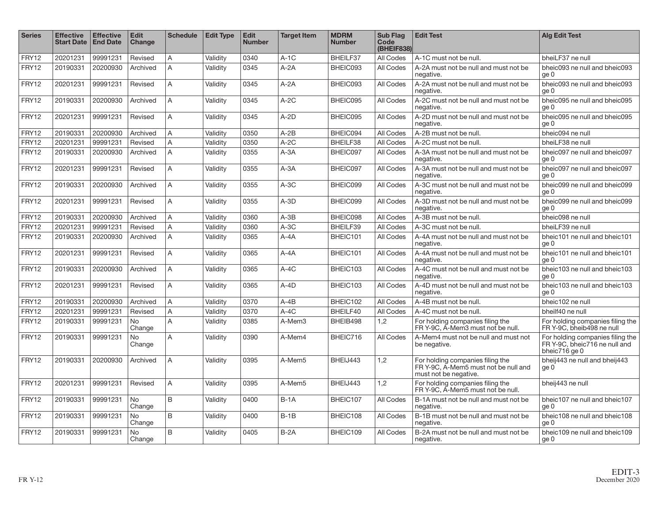| <b>Series</b> | <b>Effective</b><br><b>Start Date</b> | <b>Effective</b><br><b>End Date</b> | <b>Edit</b><br>Change | <b>Schedule</b> | <b>Edit Type</b> | <b>Edit</b><br><b>Number</b> | <b>Target Item</b> | <b>MDRM</b><br><b>Number</b> | <b>Sub Flag</b><br>Code<br>(BHEIF838) | <b>Edit Test</b>                                                                                  | <b>Alg Edit Test</b>                                                               |
|---------------|---------------------------------------|-------------------------------------|-----------------------|-----------------|------------------|------------------------------|--------------------|------------------------------|---------------------------------------|---------------------------------------------------------------------------------------------------|------------------------------------------------------------------------------------|
| FRY12         | 20201231                              | 99991231                            | Revised               | A               | Validity         | 0340                         | $A-1C$             | BHEILF37                     | All Codes                             | A-1C must not be null.                                                                            | bheiLF37 ne null                                                                   |
| FRY12         | 20190331                              | 20200930                            | Archived              | A               | Validity         | 0345                         | $A-2A$             | BHEIC093                     | All Codes                             | A-2A must not be null and must not be<br>negative.                                                | bheic093 ne null and bheic093<br>ge 0                                              |
| FRY12         | 20201231                              | 99991231                            | Revised               | A               | Validity         | 0345                         | $A - 2A$           | BHEIC093                     | All Codes                             | A-2A must not be null and must not be<br>negative.                                                | bheic093 ne null and bheic093<br>ge 0                                              |
| FRY12         | 20190331                              | 20200930                            | Archived              | A               | Validity         | 0345                         | $A-2C$             | BHEIC095                     | All Codes                             | A-2C must not be null and must not be<br>negative.                                                | bheic095 ne null and bheic095<br>ge 0                                              |
| FRY12         | 20201231                              | 99991231                            | Revised               | $\overline{A}$  | Validitv         | 0345                         | $A-2D$             | BHEIC095                     | All Codes                             | A-2D must not be null and must not be<br>negative.                                                | bheic095 ne null and bheic095<br>ge 0                                              |
| FRY12         | 20190331                              | 20200930                            | Archived              | $\overline{A}$  | Validitv         | 0350                         | $A-2B$             | BHEIC094                     | All Codes                             | A-2B must not be null.                                                                            | bheic094 ne null                                                                   |
| FRY12         | 20201231                              | 99991231                            | Revised               | A               | Validitv         | 0350                         | $A-2C$             | BHEILF38                     | <b>All Codes</b>                      | A-2C must not be null.                                                                            | bheiLF38 ne null                                                                   |
| FRY12         | 20190331                              | 20200930                            | Archived              | A               | Validity         | 0355                         | $A - 3A$           | BHEIC097                     | All Codes                             | A-3A must not be null and must not be<br>negative.                                                | bheic097 ne null and bheic097<br>ge 0                                              |
| FRY12         | 20201231                              | 99991231                            | Revised               | A               | Validity         | 0355                         | $A - 3A$           | BHEIC097                     | All Codes                             | A-3A must not be null and must not be<br>negative.                                                | bheic097 ne null and bheic097<br>ge 0                                              |
| FRY12         | 20190331                              | 20200930                            | Archived              | A               | Validity         | 0355                         | $A-3C$             | BHEIC099                     | All Codes                             | A-3C must not be null and must not be<br>negative.                                                | bheic099 ne null and bheic099<br>ge 0                                              |
| FRY12         | 20201231                              | 99991231                            | Revised               | $\overline{A}$  | Validitv         | 0355                         | $A-3D$             | BHEIC099                     | <b>All Codes</b>                      | A-3D must not be null and must not be<br>negative.                                                | bheic099 ne null and bheic099<br>ge 0                                              |
| FRY12         | 20190331                              | 20200930                            | Archived              | $\overline{A}$  | Validity         | 0360                         | $A - 3B$           | BHEIC098                     | All Codes                             | A-3B must not be null.                                                                            | bheic098 ne null                                                                   |
| FRY12         | 20201231                              | 99991231                            | Revised               | A               | Validity         | 0360                         | $A-3C$             | BHEILF39                     | <b>All Codes</b>                      | A-3C must not be null.                                                                            | bheiLF39 ne null                                                                   |
| FRY12         | 20190331                              | 20200930                            | Archived              | $\overline{A}$  | Validity         | 0365                         | $A - 4A$           | BHEIC101                     | All Codes                             | A-4A must not be null and must not be<br>negative.                                                | bheic101 ne null and bheic101<br>ge 0                                              |
| FRY12         | 20201231                              | 99991231                            | Revised               | A               | Validity         | 0365                         | $A - 4A$           | BHEIC101                     | All Codes                             | A-4A must not be null and must not be<br>negative.                                                | bheic101 ne null and bheic101<br>ge 0                                              |
| FRY12         | 20190331                              | 20200930                            | Archived              | $\overline{A}$  | Validity         | 0365                         | $A-4C$             | BHEIC103                     | All Codes                             | A-4C must not be null and must not be<br>negative.                                                | bheic103 ne null and bheic103<br>ge 0                                              |
| FRY12         | 20201231                              | 99991231                            | Revised               | A               | Validity         | 0365                         | $A - 4D$           | BHEIC103                     | All Codes                             | A-4D must not be null and must not be<br>negative.                                                | bheic103 ne null and bheic103<br>ge 0                                              |
| FRY12         | 20190331                              | 20200930                            | Archived              | A               | Validity         | 0370                         | $A - 4B$           | BHEIC102                     | All Codes                             | A-4B must not be null.                                                                            | bheic102 ne null                                                                   |
| FRY12         | 20201231                              | 99991231                            | Revised               | A               | Validity         | 0370                         | $A-4C$             | BHEILF40                     | All Codes                             | A-4C must not be null.                                                                            | bheilf40 ne null                                                                   |
| FRY12         | 20190331                              | 99991231                            | <b>No</b><br>Change   | A               | Validity         | 0385                         | A-Mem3             | BHEIB498                     | 1,2                                   | For holding companies filing the<br>FR Y-9C, A-Mem3 must not be null.                             | For holding companies filing the<br>FR Y-9C, bheib498 ne null                      |
| FRY12         | 20190331                              | 99991231                            | No<br>Change          | A               | Validity         | 0390                         | A-Mem4             | BHEIC716                     | All Codes                             | A-Mem4 must not be null and must not<br>be negative.                                              | For holding companies filing the<br>FR Y-9C, bheic716 ne null and<br>bheic716 ge 0 |
| FRY12         | 20190331                              | 20200930                            | Archived              | A               | Validity         | 0395                         | A-Mem5             | BHEIJ443                     | 1,2                                   | For holding companies filing the<br>FR Y-9C, A-Mem5 must not be null and<br>must not be negative. | bheij443 ne null and bheij443<br>ge 0                                              |
| FRY12         | 20201231                              | 99991231                            | Revised               | $\overline{A}$  | Validity         | 0395                         | A-Mem5             | BHEIJ443                     | 1,2                                   | For holding companies filing the<br>FR Y-9C, A-Mem5 must not be null.                             | bheij443 ne null                                                                   |
| FRY12         | 20190331                              | 99991231                            | No<br>Change          | B               | Validity         | 0400                         | $B-1A$             | BHEIC107                     | All Codes                             | B-1A must not be null and must not be<br>negative.                                                | bheic107 ne null and bheic107<br>ge 0                                              |
| FRY12         | 20190331                              | 99991231                            | No<br>Change          | B               | Validity         | 0400                         | $B-1B$             | BHEIC108                     | All Codes                             | B-1B must not be null and must not be<br>negative.                                                | bheic108 ne null and bheic108<br>ge 0                                              |
| FRY12         | 20190331                              | 99991231                            | <b>No</b><br>Change   | B               | Validity         | 0405                         | $B-2A$             | BHEIC109                     | All Codes                             | B-2A must not be null and must not be<br>negative.                                                | bheic109 ne null and bheic109<br>ge 0                                              |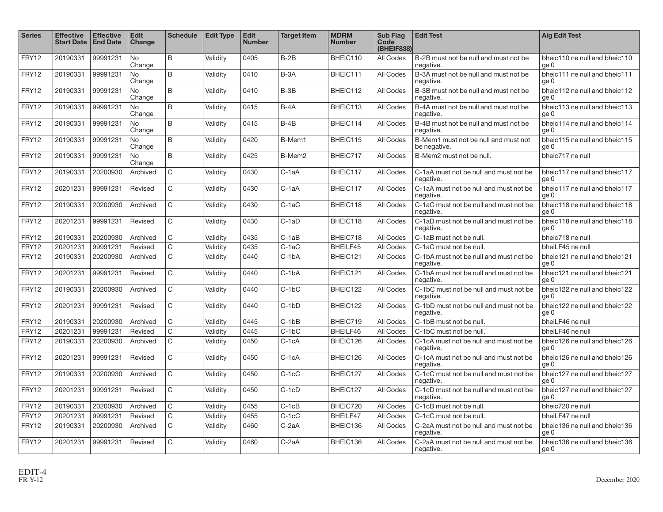| <b>Series</b> | <b>Effective</b><br><b>Start Date</b> | <b>Effective</b><br><b>End Date</b> | <b>Edit</b><br><b>Change</b> | <b>Schedule</b> | <b>Edit Type</b> | <b>Edit</b><br><b>Number</b> | <b>Target Item</b> | <b>MDRM</b><br><b>Number</b> | <b>Sub Flag</b><br>Code<br>(BHEIF838) | <b>Edit Test</b>                                     | <b>Alg Edit Test</b>                  |
|---------------|---------------------------------------|-------------------------------------|------------------------------|-----------------|------------------|------------------------------|--------------------|------------------------------|---------------------------------------|------------------------------------------------------|---------------------------------------|
| FRY12         | 20190331                              | 99991231                            | <b>No</b><br>Change          | B               | Validity         | 0405                         | $B-2B$             | BHEIC110                     | All Codes                             | B-2B must not be null and must not be<br>negative.   | bheic110 ne null and bheic110<br>ge 0 |
| FRY12         | 20190331                              | 99991231                            | <b>No</b><br>Change          | B               | Validity         | 0410                         | $B-3A$             | BHEIC111                     | All Codes                             | B-3A must not be null and must not be<br>negative.   | bheic111 ne null and bheic111<br>ge 0 |
| FRY12         | 20190331                              | 99991231                            | <b>No</b><br>Change          | B               | Validity         | 0410                         | $B-3B$             | BHEIC112                     | All Codes                             | B-3B must not be null and must not be<br>negative.   | bheic112 ne null and bheic112<br>ge 0 |
| FRY12         | 20190331                              | 99991231                            | <b>No</b><br>Change          | B               | Validity         | 0415                         | $B - 4A$           | BHEIC113                     | All Codes                             | B-4A must not be null and must not be<br>negative.   | bheic113 ne null and bheic113<br>ae 0 |
| FRY12         | 20190331                              | 99991231                            | <b>No</b><br>Change          | B               | Validity         | 0415                         | $B-4B$             | BHEIC114                     | All Codes                             | B-4B must not be null and must not be<br>negative.   | bheic114 ne null and bheic114<br>ge 0 |
| FRY12         | 20190331                              | 99991231                            | <b>No</b><br>Change          | B               | Validity         | 0420                         | B-Mem1             | BHEIC115                     | All Codes                             | B-Mem1 must not be null and must not<br>be negative. | bheic115 ne null and bheic115<br>ae 0 |
| FRY12         | 20190331                              | 99991231                            | <b>No</b><br>Change          | $\mathsf B$     | Validity         | 0425                         | B-Mem2             | BHEIC717                     | All Codes                             | B-Mem2 must not be null.                             | bheic717 ne null                      |
| FRY12         | 20190331                              | 20200930                            | Archived                     | $\mathsf C$     | Validity         | 0430                         | C-1aA              | BHEIC117                     | All Codes                             | C-1aA must not be null and must not be<br>negative.  | bheic117 ne null and bheic117<br>ge 0 |
| FRY12         | 20201231                              | 99991231                            | Revised                      | $\mathsf C$     | Validity         | 0430                         | C-1aA              | BHEIC117                     | All Codes                             | C-1aA must not be null and must not be<br>negative.  | bheic117 ne null and bheic117<br>ae 0 |
| FRY12         | 20190331                              | 20200930                            | Archived                     | $\mathsf{C}$    | Validity         | 0430                         | $C-1aC$            | BHEIC118                     | All Codes                             | C-1aC must not be null and must not be<br>negative.  | bheic118 ne null and bheic118<br>ge 0 |
| FRY12         | 20201231                              | 99991231                            | Revised                      | $\mathsf{C}$    | Validity         | 0430                         | $C-1aD$            | BHEIC118                     | All Codes                             | C-1aD must not be null and must not be<br>negative.  | bheic118 ne null and bheic118<br>ge 0 |
| FRY12         | 20190331                              | 20200930                            | Archived                     | $\mathsf{C}$    | Validity         | 0435                         | $C-1aB$            | BHEIC718                     | All Codes                             | C-1aB must not be null.                              | bheic718 ne null                      |
| FRY12         | 20201231                              | 99991231                            | Revised                      | C               | Validity         | 0435                         | $C-1aC$            | BHEILF45                     | All Codes                             | C-1aC must not be null.                              | bheiLF45 ne null                      |
| FRY12         | 20190331                              | 20200930                            | Archived                     | $\mathsf{C}$    | Validity         | 0440                         | $C-1bA$            | BHEIC121                     | All Codes                             | C-1bA must not be null and must not be<br>negative.  | bheic121 ne null and bheic121<br>ge 0 |
| FRY12         | 20201231                              | 99991231                            | Revised                      | $\mathsf{C}$    | Validity         | 0440                         | $C-1bA$            | BHEIC121                     | All Codes                             | C-1bA must not be null and must not be<br>negative.  | bheic121 ne null and bheic121<br>ge 0 |
| FRY12         | 20190331                              | 20200930                            | Archived                     | $\mathsf{C}$    | Validity         | 0440                         | $C-1bC$            | BHEIC122                     | All Codes                             | C-1bC must not be null and must not be<br>negative.  | bheic122 ne null and bheic122<br>ae 0 |
| FRY12         | 20201231                              | 99991231                            | Revised                      | $\mathsf{C}$    | Validity         | 0440                         | $C-1bD$            | BHEIC122                     | All Codes                             | C-1bD must not be null and must not be<br>negative.  | bheic122 ne null and bheic122<br>ae 0 |
| FRY12         | 20190331                              | 20200930                            | Archived                     | $\mathsf C$     | Validity         | 0445                         | $C-1bB$            | BHEIC719                     | All Codes                             | C-1bB must not be null.                              | bheiLF46 ne null                      |
| FRY12         | 20201231                              | 99991231                            | Revised                      | C               | Validity         | 0445                         | $C-1bC$            | BHEILF46                     | All Codes                             | C-1bC must not be null.                              | bheiLF46 ne null                      |
| FRY12         | 20190331                              | 20200930                            | Archived                     | $\mathsf{C}$    | Validity         | 0450                         | $C-1cA$            | BHEIC126                     | All Codes                             | C-1cA must not be null and must not be<br>negative.  | bheic126 ne null and bheic126<br>ge 0 |
| FRY12         | 20201231                              | 99991231                            | Revised                      | $\mathsf C$     | Validity         | 0450                         | $C-1cA$            | BHEIC126                     | All Codes                             | C-1cA must not be null and must not be<br>negative.  | bheic126 ne null and bheic126<br>ge 0 |
| FRY12         | 20190331                              | 20200930                            | Archived                     | $\mathsf{C}$    | Validity         | 0450                         | $C-1cC$            | BHEIC127                     | All Codes                             | C-1cC must not be null and must not be<br>negative.  | bheic127 ne null and bheic127<br>ge 0 |
| FRY12         | 20201231                              | 99991231                            | Revised                      | $\mathsf C$     | Validity         | 0450                         | $C-1cD$            | BHEIC127                     | All Codes                             | C-1cD must not be null and must not be<br>negative.  | bheic127 ne null and bheic127<br>ge 0 |
| FRY12         | 20190331                              | 20200930                            | Archived                     | $\mathsf{C}$    | Validity         | 0455                         | $C-1CB$            | BHEIC720                     | All Codes                             | C-1cB must not be null.                              | bheic720 ne null                      |
| FRY12         | 20201231                              | 99991231                            | Revised                      | C               | Validity         | 0455                         | $C-1cC$            | BHEILF47                     | All Codes                             | C-1cC must not be null.                              | bheiLF47 ne null                      |
| FRY12         | 20190331                              | 20200930                            | Archived                     | $\mathsf{C}$    | Validity         | 0460                         | C-2aA              | BHEIC136                     | All Codes                             | C-2aA must not be null and must not be<br>negative.  | bheic136 ne null and bheic136<br>ge 0 |
| FRY12         | 20201231                              | 99991231                            | Revised                      | $\mathsf{C}$    | Validity         | 0460                         | $C-2aA$            | BHEIC136                     | All Codes                             | C-2aA must not be null and must not be<br>negative.  | bheic136 ne null and bheic136<br>ge 0 |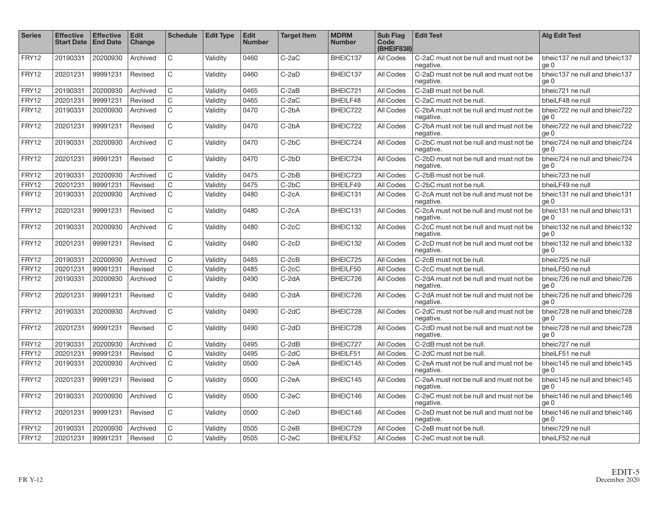| <b>Series</b> | <b>Effective</b><br><b>Start Date</b> | <b>Effective</b><br><b>End Date</b> | <b>Edit</b><br>Change | <b>Schedule</b> | <b>Edit Type</b> | <b>Edit</b><br><b>Number</b> | <b>Target Item</b> | <b>MDRM</b><br><b>Number</b> | <b>Sub Flag</b><br>Code<br>(BHEIF838) | <b>Edit Test</b>                                    | <b>Alg Edit Test</b>                  |
|---------------|---------------------------------------|-------------------------------------|-----------------------|-----------------|------------------|------------------------------|--------------------|------------------------------|---------------------------------------|-----------------------------------------------------|---------------------------------------|
| FRY12         | 20190331                              | 20200930                            | Archived              | C               | Validity         | 0460                         | $C-2aC$            | BHEIC137                     | All Codes                             | C-2aC must not be null and must not be<br>negative. | bheic137 ne null and bheic137<br>ae 0 |
| FRY12         | 20201231                              | 99991231                            | Revised               | C               | Validity         | 0460                         | $C-2aD$            | BHEIC137                     | All Codes                             | C-2aD must not be null and must not be<br>negative. | bheic137 ne null and bheic137<br>ae 0 |
| FRY12         | 20190331                              | 20200930                            | Archived              | $\mathsf{C}$    | Validity         | 0465                         | $C-2aB$            | BHEIC721                     | All Codes                             | C-2aB must not be null.                             | bheic721 ne null                      |
| FRY12         | 20201231                              | 99991231                            | Revised               | $\overline{C}$  | Validity         | 0465                         | $C-2aC$            | BHEILF48                     | All Codes                             | C-2aC must not be null.                             | bheiLF48 ne null                      |
| FRY12         | 20190331                              | 20200930                            | Archived              | $\mathsf{C}$    | Validity         | 0470                         | C-2bA              | BHEIC722                     | All Codes                             | C-2bA must not be null and must not be<br>negative. | bheic722 ne null and bheic722<br>ge 0 |
| FRY12         | 20201231                              | 99991231                            | Revised               | $\mathsf{C}$    | Validity         | 0470                         | C-2bA              | BHEIC722                     | All Codes                             | C-2bA must not be null and must not be<br>negative. | bheic722 ne null and bheic722<br>ge 0 |
| FRY12         | 20190331                              | 20200930                            | Archived              | $\mathsf{C}$    | Validity         | 0470                         | $C-2bC$            | BHEIC724                     | All Codes                             | C-2bC must not be null and must not be<br>negative. | bheic724 ne null and bheic724<br>ge 0 |
| FRY12         | 20201231                              | 99991231                            | Revised               | $\mathsf{C}$    | Validity         | 0470                         | C-2bD              | BHEIC724                     | All Codes                             | C-2bD must not be null and must not be<br>negative. | bheic724 ne null and bheic724<br>ge 0 |
| FRY12         | 20190331                              | 20200930                            | Archived              | $\mathsf C$     | Validity         | 0475                         | $C-2bB$            | BHEIC723                     | All Codes                             | C-2bB must not be null.                             | bheic723 ne null                      |
| FRY12         | 20201231                              | 99991231                            | Revised               | $\mathsf{C}$    | Validity         | 0475                         | $C-2bC$            | BHEILF49                     | All Codes                             | C-2bC must not be null.                             | bheiLF49 ne null                      |
| FRY12         | 20190331                              | 20200930                            | Archived              | $\mathsf{C}$    | Validity         | 0480                         | $C-2cA$            | BHEIC131                     | All Codes                             | C-2cA must not be null and must not be<br>negative. | bheic131 ne null and bheic131<br>ae 0 |
| FRY12         | 20201231                              | 99991231                            | Revised               | $\mathsf{C}$    | Validity         | 0480                         | $C-2cA$            | BHEIC131                     | All Codes                             | C-2cA must not be null and must not be<br>negative. | bheic131 ne null and bheic131<br>ge 0 |
| FRY12         | 20190331                              | 20200930                            | Archived              | $\mathsf{C}$    | Validity         | 0480                         | $C-2cC$            | BHEIC132                     | All Codes                             | C-2cC must not be null and must not be<br>negative. | bheic132 ne null and bheic132<br>ae 0 |
| FRY12         | 20201231                              | 99991231                            | Revised               | $\mathsf{C}$    | Validity         | 0480                         | $C-2cD$            | BHEIC132                     | All Codes                             | C-2cD must not be null and must not be<br>negative. | bheic132 ne null and bheic132<br>ge 0 |
| FRY12         | 20190331                              | 20200930                            | Archived              | C               | Validity         | 0485                         | $C-2cB$            | BHEIC725                     | <b>All Codes</b>                      | C-2cB must not be null.                             | bheic725 ne null                      |
| FRY12         | 20201231                              | 99991231                            | Revised               | C               | Validity         | 0485                         | $C-2cC$            | BHEILF50                     | All Codes                             | C-2cC must not be null.                             | bheiLF50 ne null                      |
| FRY12         | 20190331                              | 20200930                            | Archived              | $\mathsf{C}$    | Validity         | 0490                         | C-2dA              | BHEIC726                     | All Codes                             | C-2dA must not be null and must not be<br>negative. | bheic726 ne null and bheic726<br>ge 0 |
| FRY12         | 20201231                              | 99991231                            | Revised               | $\mathsf{C}$    | Validity         | 0490                         | C-2dA              | BHEIC726                     | All Codes                             | C-2dA must not be null and must not be<br>negative. | bheic726 ne null and bheic726<br>ge 0 |
| FRY12         | 20190331                              | 20200930                            | Archived              | $\mathsf{C}$    | Validity         | 0490                         | C-2dC              | BHEIC728                     | All Codes                             | C-2dC must not be null and must not be<br>negative. | bheic728 ne null and bheic728<br>ge 0 |
| FRY12         | 20201231                              | 99991231                            | Revised               | C               | Validity         | 0490                         | C-2dD              | BHEIC728                     | All Codes                             | C-2dD must not be null and must not be<br>negative. | bheic728 ne null and bheic728<br>ae 0 |
| FRY12         | 20190331                              | 20200930                            | Archived              | $\mathsf{C}$    | Validity         | 0495                         | $C-2dB$            | BHEIC727                     | All Codes                             | C-2dB must not be null.                             | bheic727 ne null                      |
| FRY12         | 20201231                              | 99991231                            | Revised               | $\mathsf{C}$    | Validity         | 0495                         | $C-2dC$            | BHEILF51                     | <b>All Codes</b>                      | C-2dC must not be null.                             | bheiLF51 ne null                      |
| FRY12         | 20190331                              | 20200930                            | Archived              | $\mathsf{C}$    | Validity         | 0500                         | C-2eA              | BHEIC145                     | All Codes                             | C-2eA must not be null and must not be<br>negative. | bheic145 ne null and bheic145<br>ge 0 |
| FRY12         | 20201231                              | 99991231                            | Revised               | C               | Validity         | 0500                         | C-2eA              | BHEIC145                     | All Codes                             | C-2eA must not be null and must not be<br>negative. | bheic145 ne null and bheic145<br>ge 0 |
| FRY12         | 20190331                              | 20200930                            | Archived              | $\mathsf{C}$    | Validity         | 0500                         | $C-2eC$            | BHEIC146                     | All Codes                             | C-2eC must not be null and must not be<br>negative. | bheic146 ne null and bheic146<br>ge 0 |
| FRY12         | 20201231                              | 99991231                            | Revised               | C               | Validity         | 0500                         | $C-2eD$            | BHEIC146                     | All Codes                             | C-2eD must not be null and must not be<br>negative. | bheic146 ne null and bheic146<br>ge 0 |
| FRY12         | 20190331                              | 20200930                            | Archived              | C               | Validity         | 0505                         | $C-2eB$            | BHEIC729                     | All Codes                             | C-2eB must not be null.                             | bheic729 ne null                      |
| FRY12         | 20201231                              | 99991231                            | Revised               | $\mathsf{C}$    | Validity         | 0505                         | $C-2eC$            | BHEILF52                     | All Codes                             | C-2eC must not be null.                             | bheiLF52 ne null                      |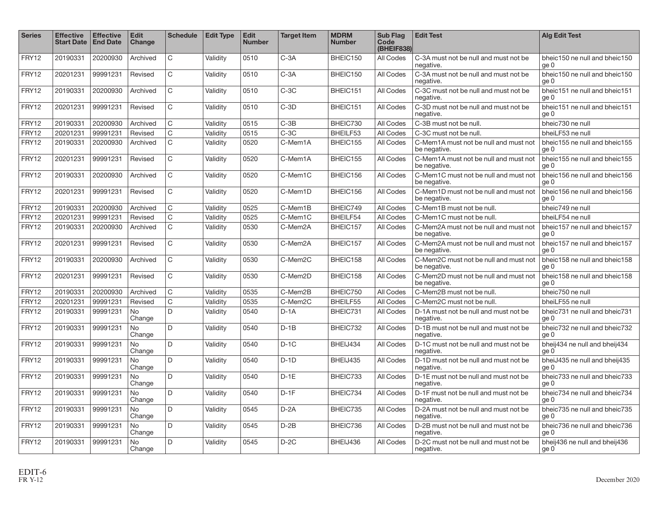| <b>Series</b> | <b>Effective</b><br><b>Start Date</b> | <b>Effective</b><br><b>End Date</b> | <b>Edit</b><br>Change | <b>Schedule</b> | <b>Edit Type</b> | <b>Edit</b><br><b>Number</b> | <b>Target Item</b> | <b>MDRM</b><br><b>Number</b> | <b>Sub Flag</b><br>Code<br>(BHEIF838) | <b>Edit Test</b>                                      | <b>Alg Edit Test</b>                  |
|---------------|---------------------------------------|-------------------------------------|-----------------------|-----------------|------------------|------------------------------|--------------------|------------------------------|---------------------------------------|-------------------------------------------------------|---------------------------------------|
| FRY12         | 20190331                              | 20200930                            | Archived              | $\mathbf C$     | Validity         | 0510                         | $C-3A$             | BHEIC150                     | All Codes                             | C-3A must not be null and must not be<br>negative.    | bheic150 ne null and bheic150<br>ge 0 |
| FRY12         | 20201231                              | 99991231                            | Revised               | $\mathsf{C}$    | Validity         | 0510                         | $C-3A$             | BHEIC150                     | All Codes                             | C-3A must not be null and must not be<br>negative.    | bheic150 ne null and bheic150<br>ae 0 |
| FRY12         | 20190331                              | 20200930                            | Archived              | $\mathsf C$     | Validity         | 0510                         | $C-3C$             | BHEIC151                     | All Codes                             | C-3C must not be null and must not be<br>negative.    | bheic151 ne null and bheic151<br>ge 0 |
| FRY12         | 20201231                              | 99991231                            | Revised               | $\mathsf{C}$    | Validity         | 0510                         | $C-3D$             | BHEIC151                     | All Codes                             | C-3D must not be null and must not be<br>negative.    | bheic151 ne null and bheic151<br>ge 0 |
| FRY12         | 20190331                              | 20200930                            | Archived              | $\mathsf C$     | Validity         | 0515                         | $C-3B$             | BHEIC730                     | All Codes                             | C-3B must not be null.                                | bheic730 ne null                      |
| FRY12         | 20201231                              | 99991231                            | Revised               | C               | Validity         | 0515                         | $C-3C$             | BHEILF53                     | All Codes                             | C-3C must not be null.                                | bheiLF53 ne null                      |
| FRY12         | 20190331                              | 20200930                            | Archived              | $\mathsf{C}$    | Validity         | 0520                         | C-Mem1A            | BHEIC155                     | All Codes                             | C-Mem1A must not be null and must not<br>be negative. | bheic155 ne null and bheic155<br>ge 0 |
| FRY12         | 20201231                              | 99991231                            | Revised               | $\mathsf C$     | Validity         | 0520                         | C-Mem1A            | BHEIC155                     | All Codes                             | C-Mem1A must not be null and must not<br>be negative. | bheic155 ne null and bheic155<br>ge 0 |
| FRY12         | 20190331                              | 20200930                            | Archived              | $\mathsf{C}$    | Validitv         | 0520                         | C-Mem1C            | BHEIC156                     | All Codes                             | C-Mem1C must not be null and must not<br>be negative. | bheic156 ne null and bheic156<br>ge 0 |
| FRY12         | 20201231                              | 99991231                            | Revised               | $\mathsf{C}$    | Validity         | 0520                         | C-Mem1D            | BHEIC156                     | All Codes                             | C-Mem1D must not be null and must not<br>be negative. | bheic156 ne null and bheic156<br>ge 0 |
| FRY12         | 20190331                              | 20200930                            | Archived              | $\mathsf{C}$    | Validity         | 0525                         | C-Mem1B            | BHEIC749                     | All Codes                             | C-Mem1B must not be null.                             | bheic749 ne null                      |
| FRY12         | 20201231                              | 99991231                            | Revised               | $\overline{C}$  | Validity         | 0525                         | C-Mem1C            | BHEILF54                     | All Codes                             | C-Mem1C must not be null.                             | bheiLF54 ne null                      |
| FRY12         | 20190331                              | 20200930                            | Archived              | $\mathsf{C}$    | Validity         | 0530                         | C-Mem2A            | BHEIC157                     | All Codes                             | C-Mem2A must not be null and must not<br>be negative. | bheic157 ne null and bheic157<br>ge 0 |
| FRY12         | 20201231                              | 99991231                            | Revised               | $\mathsf{C}$    | Validity         | 0530                         | C-Mem2A            | BHEIC157                     | All Codes                             | C-Mem2A must not be null and must not<br>be negative. | bheic157 ne null and bheic157<br>ge 0 |
| FRY12         | 20190331                              | 20200930                            | Archived              | $\mathsf{C}$    | Validity         | 0530                         | C-Mem2C            | BHEIC158                     | All Codes                             | C-Mem2C must not be null and must not<br>be negative. | bheic158 ne null and bheic158<br>ge 0 |
| FRY12         | 20201231                              | 99991231                            | Revised               | $\mathsf{C}$    | Validity         | 0530                         | C-Mem2D            | BHEIC158                     | All Codes                             | C-Mem2D must not be null and must not<br>be negative. | bheic158 ne null and bheic158<br>ge 0 |
| FRY12         | 20190331                              | 20200930                            | Archived              | $\mathsf{C}$    | Validity         | 0535                         | C-Mem2B            | BHEIC750                     | All Codes                             | C-Mem2B must not be null.                             | bheic750 ne null                      |
| FRY12         | 20201231                              | 99991231                            | Revised               | $\mathsf{C}$    | Validity         | 0535                         | C-Mem2C            | BHEILF55                     | All Codes                             | C-Mem2C must not be null.                             | bheiLF55 ne null                      |
| FRY12         | 20190331                              | 99991231                            | <b>No</b><br>Change   | D               | Validity         | 0540                         | $D-1A$             | BHEIC731                     | All Codes                             | D-1A must not be null and must not be<br>negative.    | bheic731 ne null and bheic731<br>ge 0 |
| FRY12         | 20190331                              | 99991231                            | <b>No</b><br>Change   | D               | Validity         | 0540                         | $D-1B$             | BHEIC732                     | All Codes                             | D-1B must not be null and must not be<br>negative.    | bheic732 ne null and bheic732<br>ge 0 |
| FRY12         | 20190331                              | 99991231                            | <b>No</b><br>Change   | D               | Validity         | 0540                         | $D-1C$             | BHEIJ434                     | All Codes                             | D-1C must not be null and must not be<br>negative.    | bheij434 ne null and bheij434<br>ge 0 |
| FRY12         | 20190331                              | 99991231                            | <b>No</b><br>Change   | D               | Validity         | 0540                         | $D-1D$             | BHEIJ435                     | All Codes                             | D-1D must not be null and must not be<br>negative.    | bheiJ435 ne null and bheij435<br>ge 0 |
| FRY12         | 20190331                              | 99991231                            | <b>No</b><br>Change   | D               | Validity         | 0540                         | $D-1E$             | BHEIC733                     | All Codes                             | D-1E must not be null and must not be<br>negative.    | bheic733 ne null and bheic733<br>ge 0 |
| FRY12         | 20190331                              | 99991231                            | <b>No</b><br>Change   | D               | Validity         | 0540                         | $D-1F$             | BHEIC734                     | All Codes                             | D-1F must not be null and must not be<br>negative.    | bheic734 ne null and bheic734<br>ge 0 |
| FRY12         | 20190331                              | 99991231                            | <b>No</b><br>Change   | D               | Validity         | 0545                         | $D-2A$             | BHEIC735                     | All Codes                             | D-2A must not be null and must not be<br>negative.    | bheic735 ne null and bheic735<br>ge 0 |
| FRY12         | 20190331                              | 99991231                            | <b>No</b><br>Change   | D               | Validity         | 0545                         | $D-2B$             | BHEIC736                     | All Codes                             | D-2B must not be null and must not be<br>negative.    | bheic736 ne null and bheic736<br>ge 0 |
| FRY12         | 20190331                              | 99991231                            | <b>No</b><br>Change   | D               | Validity         | 0545                         | $D-2C$             | BHEIJ436                     | All Codes                             | D-2C must not be null and must not be<br>negative.    | bheij436 ne null and bheij436<br>ge 0 |